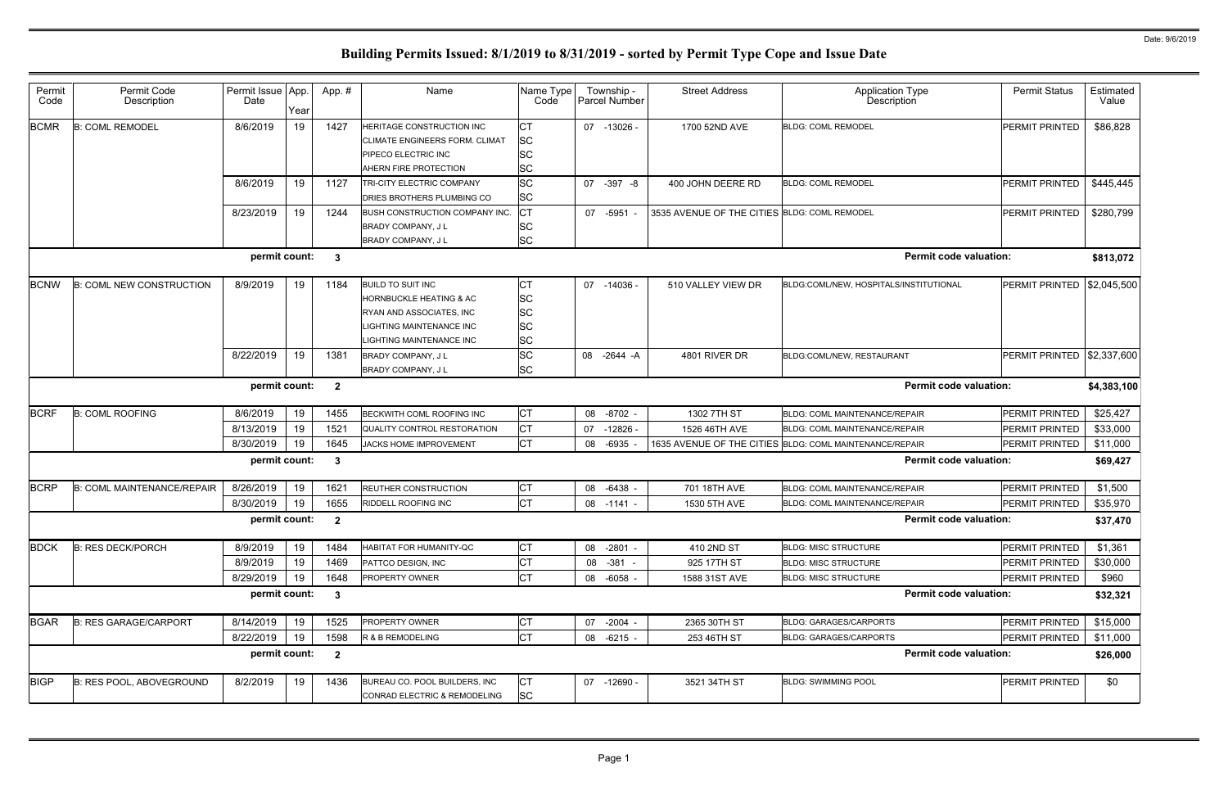| Permit<br>Code | Permit Code<br>Description        | Permit Issue App.<br>Date | Year | App. #                  | Name                                                                                                                                                | Name Type<br>Code                                       | Township -<br>Parcel Number | <b>Street Address</b>                        | <b>Application Type</b><br>Description                  | <b>Permit Status</b>       | Estimated<br>Value |
|----------------|-----------------------------------|---------------------------|------|-------------------------|-----------------------------------------------------------------------------------------------------------------------------------------------------|---------------------------------------------------------|-----------------------------|----------------------------------------------|---------------------------------------------------------|----------------------------|--------------------|
| <b>BCMR</b>    | <b>B: COML REMODEL</b>            | 8/6/2019                  | 19   | 1427                    | HERITAGE CONSTRUCTION INC<br>CLIMATE ENGINEERS FORM. CLIMAT<br>PIPECO ELECTRIC INC<br><b>AHERN FIRE PROTECTION</b>                                  | Iст<br><b>SC</b><br><b>SC</b><br><b>SC</b>              | 07 -13026 -                 | 1700 52ND AVE                                | <b>BLDG: COML REMODEL</b>                               | PERMIT PRINTED             | \$86,828           |
|                |                                   | 8/6/2019                  | 19   | 1127                    | TRI-CITY ELECTRIC COMPANY<br><b>DRIES BROTHERS PLUMBING CO</b>                                                                                      | <b>SC</b><br><b>SC</b>                                  | 07 - 397 - 8                | 400 JOHN DEERE RD                            | <b>BLDG: COML REMODEL</b>                               | PERMIT PRINTED             | \$445,445          |
|                |                                   | 8/23/2019                 | 19   | 1244                    | BUSH CONSTRUCTION COMPANY INC.<br>BRADY COMPANY, JL<br>BRADY COMPANY, J L                                                                           | Iст<br><b>SC</b><br><b>SC</b>                           | 07 -5951 -                  | 3535 AVENUE OF THE CITIES BLDG: COML REMODEL |                                                         | PERMIT PRINTED             | \$280,799          |
|                |                                   | permit count:             |      | $\mathbf{3}$            |                                                                                                                                                     |                                                         |                             |                                              | <b>Permit code valuation:</b>                           |                            | \$813,072          |
| <b>BCNW</b>    | <b>B: COML NEW CONSTRUCTION</b>   | 8/9/2019                  | 19   | 1184                    | <b>BUILD TO SUIT INC</b><br>HORNBUCKLE HEATING & AC<br>RYAN AND ASSOCIATES, INC<br><b>IGHTING MAINTENANCE INC</b><br><b>IGHTING MAINTENANCE INC</b> | IСТ<br><b>SC</b><br><b>SC</b><br><b>SC</b><br><b>SC</b> | 07 -14036 -                 | 510 VALLEY VIEW DR                           | BLDG:COML/NEW, HOSPITALS/INSTITUTIONAL                  | PERMIT PRINTED             | \$2,045,500        |
|                |                                   | 8/22/2019                 | 19   | 1381                    | <b>BRADY COMPANY, JL</b><br>BRADY COMPANY, J L                                                                                                      | <b>SC</b><br><b>SC</b>                                  | -2644 -A<br>08              | 4801 RIVER DR                                | BLDG:COML/NEW, RESTAURANT                               | PERMIT PRINTED \$2,337,600 |                    |
|                |                                   | permit count:             |      | $\overline{\mathbf{2}}$ |                                                                                                                                                     |                                                         |                             |                                              | <b>Permit code valuation:</b>                           |                            | \$4,383,100        |
| <b>BCRF</b>    | <b>B: COML ROOFING</b>            | 8/6/2019                  | 19   | 1455                    | BECKWITH COML ROOFING INC                                                                                                                           | Iст                                                     | 08 -8702 -                  | 1302 7TH ST                                  | BLDG: COML MAINTENANCE/REPAIR                           | PERMIT PRINTED             | \$25,427           |
|                |                                   | 8/13/2019                 | 19   | 1521                    | QUALITY CONTROL RESTORATION                                                                                                                         | <b>CT</b>                                               | 07<br>-12826 -              | 1526 46TH AVE                                | <b>BLDG: COML MAINTENANCE/REPAIR</b>                    | PERMIT PRINTED             | \$33,000           |
|                |                                   | 8/30/2019                 | 19   | 1645                    | JACKS HOME IMPROVEMENT                                                                                                                              | Iст                                                     | -6935<br>08                 |                                              | 1635 AVENUE OF THE CITIES BLDG: COML MAINTENANCE/REPAIR | PERMIT PRINTED             | \$11,000           |
|                |                                   | permit count:             |      | $\mathbf{3}$            |                                                                                                                                                     |                                                         |                             |                                              | <b>Permit code valuation:</b>                           |                            | \$69,427           |
| <b>BCRP</b>    | <b>B: COML MAINTENANCE/REPAIR</b> | 8/26/2019                 | 19   | 1621                    | <b>REUTHER CONSTRUCTION</b>                                                                                                                         | <b>CT</b>                                               | 08 -6438 -                  | 701 18TH AVE                                 | <b>BLDG: COML MAINTENANCE/REPAIR</b>                    | PERMIT PRINTED             | \$1,500            |
|                |                                   | 8/30/2019                 | 19   | 1655                    | RIDDELL ROOFING INC                                                                                                                                 | Iст                                                     | 08 -1141 -                  | 1530 5TH AVE                                 | <b>BLDG: COML MAINTENANCE/REPAIR</b>                    | PERMIT PRINTED             | \$35,970           |
|                |                                   | permit count:             |      | $\mathbf{2}$            |                                                                                                                                                     |                                                         |                             |                                              | <b>Permit code valuation:</b>                           |                            | \$37,470           |
| <b>BDCK</b>    | <b>B: RES DECK/PORCH</b>          | 8/9/2019                  | 19   | 1484                    | <b>HABITAT FOR HUMANITY-QC</b>                                                                                                                      | Iст                                                     | 08 -2801 -                  | 410 2ND ST                                   | <b>BLDG: MISC STRUCTURE</b>                             | PERMIT PRINTED             | \$1,361            |
|                |                                   | 8/9/2019                  | 19   | 1469                    | PATTCO DESIGN, INC                                                                                                                                  | <b>CT</b>                                               | 08 - 381 -                  | 925 17TH ST                                  | <b>BLDG: MISC STRUCTURE</b>                             | PERMIT PRINTED             | \$30,000           |
|                |                                   | 8/29/2019                 | 19   | 1648                    | <b>PROPERTY OWNER</b>                                                                                                                               | Iст                                                     | 08 -6058 -                  | 1588 31ST AVE                                | <b>BLDG: MISC STRUCTURE</b>                             | PERMIT PRINTED             | \$960              |
|                |                                   | permit count:             |      | $\mathbf{3}$            |                                                                                                                                                     |                                                         |                             |                                              | <b>Permit code valuation:</b>                           |                            | \$32,321           |
| <b>BGAR</b>    | <b>B: RES GARAGE/CARPORT</b>      | 8/14/2019                 | 19   | 1525                    | PROPERTY OWNER                                                                                                                                      | IСТ                                                     | 07 -2004 -                  | 2365 30TH ST                                 | <b>BLDG: GARAGES/CARPORTS</b>                           | PERMIT PRINTED             | \$15,000           |
|                |                                   | 8/22/2019                 | 19   | 1598                    | R & B REMODELING                                                                                                                                    | <b>ICT</b>                                              | $-6215 -$<br>08             | 253 46TH ST                                  | <b>BLDG: GARAGES/CARPORTS</b>                           | PERMIT PRINTED             | \$11,000           |
|                |                                   | permit count:             |      | $\overline{2}$          |                                                                                                                                                     |                                                         |                             |                                              | <b>Permit code valuation:</b>                           |                            | \$26,000           |
| <b>BIGP</b>    | B: RES POOL, ABOVEGROUND          | 8/2/2019                  | 19   | 1436                    | BUREAU CO. POOL BUILDERS, INC<br>CONRAD ELECTRIC & REMODELING                                                                                       | <b>CT</b><br><b>SC</b>                                  | 07 -12690 -                 | 3521 34TH ST                                 | <b>BLDG: SWIMMING POOL</b>                              | PERMIT PRINTED             | \$0                |
|                |                                   |                           |      |                         |                                                                                                                                                     |                                                         |                             |                                              |                                                         |                            |                    |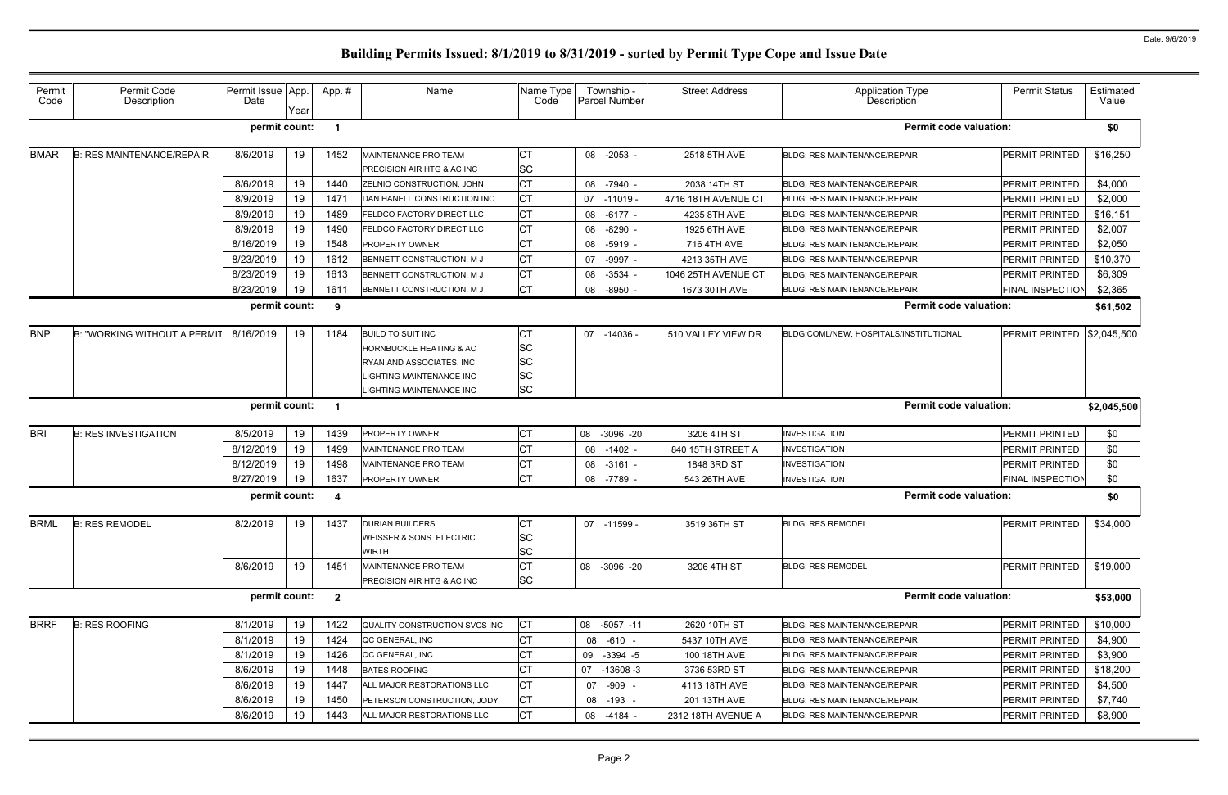| Permit<br>Code | Permit Code<br>Description          | Permit Issue App.<br>Date | Year | App.#                   | Name                                                              | Name Type<br>Code                   | Township -<br>Parcel Number | <b>Street Address</b> | <b>Application Type</b><br>Description | <b>Permit Status</b>    | Estimated<br>Value |
|----------------|-------------------------------------|---------------------------|------|-------------------------|-------------------------------------------------------------------|-------------------------------------|-----------------------------|-----------------------|----------------------------------------|-------------------------|--------------------|
|                |                                     | permit count:             |      | - 1                     |                                                                   |                                     |                             |                       | <b>Permit code valuation:</b>          |                         | \$0                |
| <b>BMAR</b>    | <b>B: RES MAINTENANCE/REPAIR</b>    | 8/6/2019                  | 19   | 1452                    | <b>MAINTENANCE PRO TEAM</b>                                       | <b>CT</b>                           | 08 -2053 -                  | 2518 5TH AVE          | <b>BLDG: RES MAINTENANCE/REPAIR</b>    | <b>PERMIT PRINTED</b>   | \$16,250           |
|                |                                     |                           |      |                         | <b>PRECISION AIR HTG &amp; AC INC</b>                             | <b>SC</b>                           |                             |                       |                                        |                         |                    |
|                |                                     | 8/6/2019                  | 19   | 1440                    | <b>ZELNIO CONSTRUCTION, JOHN</b>                                  | <b>CT</b>                           | 08 -7940 -                  | 2038 14TH ST          | <b>BLDG: RES MAINTENANCE/REPAIR</b>    | PERMIT PRINTED          | \$4,000            |
|                |                                     | 8/9/2019                  | 19   | 1471                    | DAN HANELL CONSTRUCTION INC                                       | <b>CT</b>                           | 07<br>-11019                | 4716 18TH AVENUE CT   | <b>BLDG: RES MAINTENANCE/REPAIR</b>    | <b>PERMIT PRINTED</b>   | \$2,000            |
|                |                                     | 8/9/2019                  | 19   | 1489                    | <b>FELDCO FACTORY DIRECT LLC</b>                                  | <b>CT</b>                           | 08 -6177 -                  | 4235 8TH AVE          | <b>BLDG: RES MAINTENANCE/REPAIR</b>    | <b>PERMIT PRINTED</b>   | \$16,151           |
|                |                                     | 8/9/2019                  | 19   | 1490                    | <b>FELDCO FACTORY DIRECT LLC</b>                                  | <b>CT</b>                           | 08<br>$-8290$               | 1925 6TH AVE          | <b>BLDG: RES MAINTENANCE/REPAIR</b>    | <b>PERMIT PRINTED</b>   | \$2,007            |
|                |                                     | 8/16/2019                 | 19   | 1548                    | <b>PROPERTY OWNER</b>                                             | <b>CT</b>                           | 08 -5919 -                  | 716 4TH AVE           | <b>BLDG: RES MAINTENANCE/REPAIR</b>    | <b>PERMIT PRINTED</b>   | \$2,050            |
|                |                                     | 8/23/2019                 | 19   | 1612                    | BENNETT CONSTRUCTION, M J                                         | <b>CT</b>                           | -9997 -<br>07               | 4213 35TH AVE         | <b>BLDG: RES MAINTENANCE/REPAIR</b>    | <b>PERMIT PRINTED</b>   | \$10,370           |
|                |                                     | 8/23/2019                 | 19   | 1613                    | BENNETT CONSTRUCTION, M J                                         | <b>CT</b>                           | $-3534$ .<br>08             | 1046 25TH AVENUE CT   | <b>BLDG: RES MAINTENANCE/REPAIR</b>    | PERMIT PRINTED          | \$6,309            |
|                |                                     | 8/23/2019                 | 19   | 1611                    | BENNETT CONSTRUCTION, M J                                         | <b>CT</b>                           | -8950 -<br>08               | 1673 30TH AVE         | <b>BLDG: RES MAINTENANCE/REPAIR</b>    | <b>FINAL INSPECTION</b> | \$2,365            |
|                |                                     | permit count:             |      | 9                       |                                                                   |                                     |                             |                       | <b>Permit code valuation:</b>          |                         | \$61,502           |
| <b>BNP</b>     | <b>B: "WORKING WITHOUT A PERMIT</b> | 8/16/2019                 | 19   | 1184                    | <b>BUILD TO SUIT INC</b>                                          | IСТ                                 | 07 -14036 -                 | 510 VALLEY VIEW DR    | BLDG:COML/NEW, HOSPITALS/INSTITUTIONAL | <b>PERMIT PRINTED</b>   | \$2,045,500        |
|                |                                     |                           |      |                         | <b>HORNBUCKLE HEATING &amp; AC</b>                                | <b>SC</b>                           |                             |                       |                                        |                         |                    |
|                |                                     |                           |      |                         | RYAN AND ASSOCIATES, INC                                          | <b>SC</b>                           |                             |                       |                                        |                         |                    |
|                |                                     |                           |      |                         | LIGHTING MAINTENANCE INC                                          | <b>SC</b>                           |                             |                       |                                        |                         |                    |
|                |                                     |                           |      |                         | LIGHTING MAINTENANCE INC                                          | <b>SC</b>                           |                             |                       |                                        |                         |                    |
|                |                                     | permit count:             |      |                         |                                                                   |                                     |                             |                       | <b>Permit code valuation:</b>          |                         | \$2,045,500        |
| <b>BRI</b>     | <b>B: RES INVESTIGATION</b>         | 8/5/2019                  | 19   | 1439                    | <b>PROPERTY OWNER</b>                                             | <b>CT</b>                           | 08<br>$-3096 - 20$          | 3206 4TH ST           | <b>INVESTIGATION</b>                   | <b>PERMIT PRINTED</b>   | \$0                |
|                |                                     | 8/12/2019                 | 19   | 1499                    | MAINTENANCE PRO TEAM                                              | <b>CT</b>                           | 08 -1402 -                  | 840 15TH STREET A     | <b>INVESTIGATION</b>                   | <b>PERMIT PRINTED</b>   | \$0                |
|                |                                     | 8/12/2019                 | 19   | 1498                    | MAINTENANCE PRO TEAM                                              | <b>CT</b>                           | $-3161 -$<br>08             | 1848 3RD ST           | <b>INVESTIGATION</b>                   | PERMIT PRINTED          | \$0                |
|                |                                     | 8/27/2019                 | 19   | 1637                    | <b>PROPERTY OWNER</b>                                             | <b>CT</b>                           | 08 -7789 -                  | 543 26TH AVE          | <b>INVESTIGATION</b>                   | <b>FINAL INSPECTION</b> | \$0                |
|                |                                     | permit count:             |      | - 4                     |                                                                   |                                     |                             |                       | <b>Permit code valuation:</b>          |                         | \$0                |
| <b>BRML</b>    | <b>B: RES REMODEL</b>               | 8/2/2019                  | 19   | 1437                    | <b>DURIAN BUILDERS</b><br>WEISSER & SONS ELECTRIC<br><b>WIRTH</b> | <b>CT</b><br><b>SC</b><br><b>SC</b> | 07 -11599 -                 | 3519 36TH ST          | <b>BLDG: RES REMODEL</b>               | PERMIT PRINTED          | \$34,000           |
|                |                                     | 8/6/2019                  | 19   | 1451                    | MAINTENANCE PRO TEAM<br><b>PRECISION AIR HTG &amp; AC INC</b>     | <b>CT</b><br><b>SC</b>              | 08 -3096 -20                | 3206 4TH ST           | <b>BLDG: RES REMODEL</b>               | <b>PERMIT PRINTED</b>   | \$19,000           |
|                |                                     | permit count:             |      | $\overline{\mathbf{2}}$ |                                                                   |                                     |                             |                       | <b>Permit code valuation:</b>          |                         | \$53,000           |
| <b>BRRF</b>    | <b>B: RES ROOFING</b>               | 8/1/2019                  | 19   | 1422                    | QUALITY CONSTRUCTION SVCS INC                                     | <b>CT</b>                           | 08 -5057 -11                | 2620 10TH ST          | <b>BLDG: RES MAINTENANCE/REPAIR</b>    | PERMIT PRINTED          | \$10,000           |
|                |                                     | 8/1/2019                  | 19   | 1424                    | QC GENERAL, INC                                                   | <b>CT</b>                           | 08 -610 -                   | 5437 10TH AVE         | <b>BLDG: RES MAINTENANCE/REPAIR</b>    | <b>PERMIT PRINTED</b>   | \$4,900            |
|                |                                     | 8/1/2019                  | 19   | 1426                    | QC GENERAL, INC                                                   | <b>CT</b>                           | 09 -3394 -5                 | 100 18TH AVE          | <b>BLDG: RES MAINTENANCE/REPAIR</b>    | PERMIT PRINTED          | \$3,900            |
|                |                                     | 8/6/2019                  | 19   | 1448                    | <b>BATES ROOFING</b>                                              | СT                                  | 07<br>$-13608 - 3$          | 3736 53RD ST          | <b>BLDG: RES MAINTENANCE/REPAIR</b>    | PERMIT PRINTED          | \$18,200           |
|                |                                     | 8/6/2019                  | 19   | 1447                    | ALL MAJOR RESTORATIONS LLC                                        | <b>CT</b>                           | 07 -909 -                   | 4113 18TH AVE         | <b>BLDG: RES MAINTENANCE/REPAIR</b>    | PERMIT PRINTED          | \$4,500            |
|                |                                     | 8/6/2019                  | 19   | 1450                    | PETERSON CONSTRUCTION, JODY                                       | <b>CT</b>                           | 08 -193 -                   | 201 13TH AVE          | <b>BLDG: RES MAINTENANCE/REPAIR</b>    | PERMIT PRINTED          | \$7,740            |
|                |                                     | 8/6/2019                  | 19   | 1443                    | ALL MAJOR RESTORATIONS LLC                                        | <b>CT</b>                           | 08 -4184 -                  | 2312 18TH AVENUE A    | <b>BLDG: RES MAINTENANCE/REPAIR</b>    | <b>PERMIT PRINTED</b>   | \$8,900            |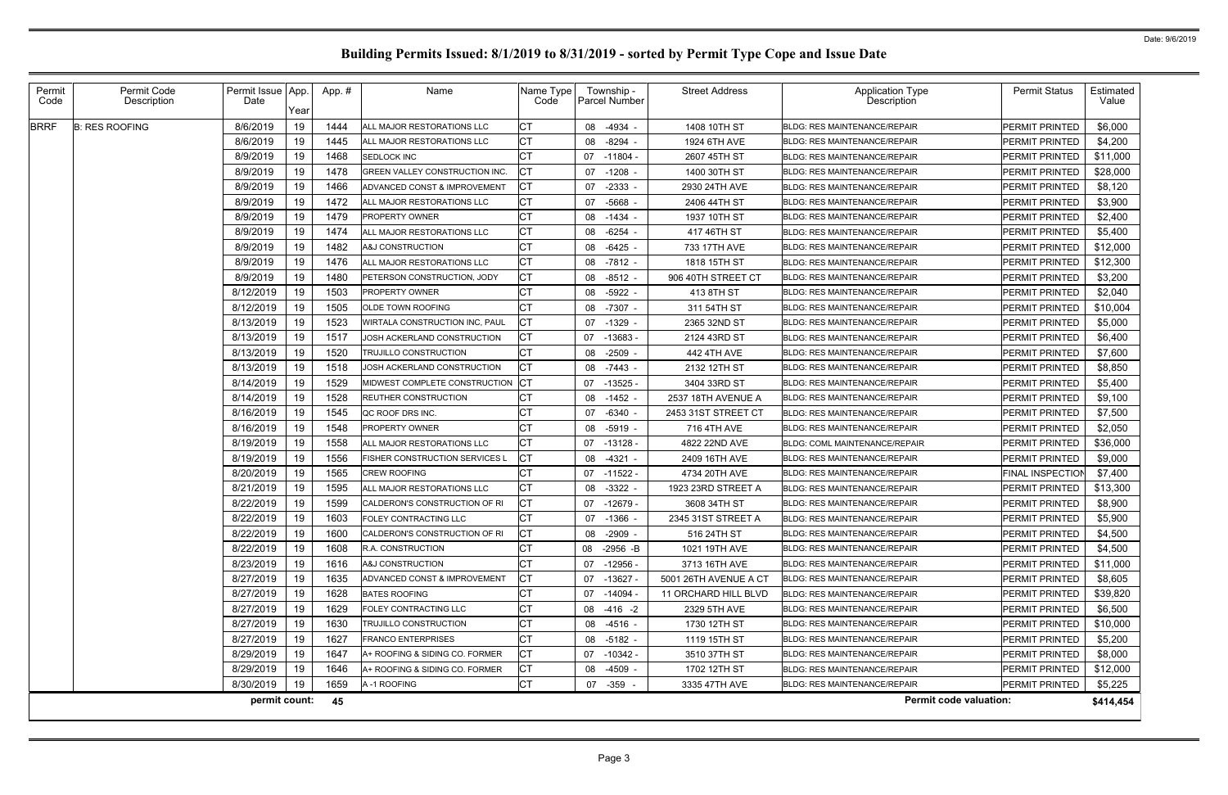| Permit<br>Code | Permit Code<br>Description | Permit Issue<br>Date | App.<br>Year | App.# | Name                             | Name Type<br>Code | Township -<br>Parcel Number | <b>Street Address</b> | <b>Application Type</b><br>Description | <b>Permit Status</b>  | Estimated<br>Value |
|----------------|----------------------------|----------------------|--------------|-------|----------------------------------|-------------------|-----------------------------|-----------------------|----------------------------------------|-----------------------|--------------------|
| <b>BRRF</b>    | <b>B: RES ROOFING</b>      | 8/6/2019             | 19           | 1444  | ALL MAJOR RESTORATIONS LLC       |                   | 08<br>$-4934$ -             | 1408 10TH ST          | <b>BLDG: RES MAINTENANCE/REPAIR</b>    | PERMIT PRINTED        | \$6,000            |
|                |                            | 8/6/2019             | 19           | 1445  | ALL MAJOR RESTORATIONS LLC       |                   | $-8294$<br>08               | 1924 6TH AVE          | <b>BLDG: RES MAINTENANCE/REPAIR</b>    | <b>PERMIT PRINTED</b> | \$4,200            |
|                |                            | 8/9/2019             | 19           | 1468  | SEDLOCK INC                      |                   | -11804 -<br>07              | 2607 45TH ST          | BLDG: RES MAINTENANCE/REPAIR           | PERMIT PRINTED        | \$11,000           |
|                |                            | 8/9/2019             | 19           | 1478  | GREEN VALLEY CONSTRUCTION INC.   |                   | 07<br>$-1208$ -             | 1400 30TH ST          | <b>BLDG: RES MAINTENANCE/REPAIR</b>    | PERMIT PRINTED        | \$28,000           |
|                |                            | 8/9/2019             | 19           | 1466  | ADVANCED CONST & IMPROVEMENT     |                   | $-2333 -$<br>07             | 2930 24TH AVE         | <b>BLDG: RES MAINTENANCE/REPAIR</b>    | PERMIT PRINTED        | \$8,120            |
|                |                            | 8/9/2019             | 19           | 1472  | ALL MAJOR RESTORATIONS LLC       |                   | 07<br>$-5668$               | 2406 44TH ST          | <b>BLDG: RES MAINTENANCE/REPAIR</b>    | <b>PERMIT PRINTED</b> | \$3,900            |
|                |                            | 8/9/2019             | 19           | 1479  | <b>PROPERTY OWNER</b>            |                   | $-1434$<br>08               | 1937 10TH ST          | BLDG: RES MAINTENANCE/REPAIR           | PERMIT PRINTED        | \$2,400            |
|                |                            | 8/9/2019             | 19           | 1474  | ALL MAJOR RESTORATIONS LLC       |                   | $-6254$<br>08               | 417 46TH ST           | <b>BLDG: RES MAINTENANCE/REPAIR</b>    | <b>PERMIT PRINTED</b> | \$5,400            |
|                |                            | 8/9/2019             | 19           | 1482  | A&J CONSTRUCTION                 | СT                | 08<br>$-6425$               | 733 17TH AVE          | <b>BLDG: RES MAINTENANCE/REPAIR</b>    | <b>PERMIT PRINTED</b> | \$12,000           |
|                |                            | 8/9/2019             | 19           | 1476  | ALL MAJOR RESTORATIONS LLC       | СT                | 08<br>-7812 -               | 1818 15TH ST          | <b>BLDG: RES MAINTENANCE/REPAIR</b>    | PERMIT PRINTED        | \$12,300           |
|                |                            | 8/9/2019             | 19           | 1480  | PETERSON CONSTRUCTION, JODY      | <b>CT</b>         | 08<br>$-8512 -$             | 906 40TH STREET CT    | <b>BLDG: RES MAINTENANCE/REPAIR</b>    | PERMIT PRINTED        | \$3,200            |
|                |                            | 8/12/2019            | 19           | 1503  | <b>PROPERTY OWNER</b>            |                   | $-5922$<br>08               | 413 8TH ST            | <b>BLDG: RES MAINTENANCE/REPAIR</b>    | <b>PERMIT PRINTED</b> | \$2,040            |
|                |                            | 8/12/2019            | 19           | 1505  | OLDE TOWN ROOFING                |                   | 08<br>$-7307 -$             | 311 54TH ST           | <b>BLDG: RES MAINTENANCE/REPAIR</b>    | <b>PERMIT PRINTED</b> | \$10,004           |
|                |                            | 8/13/2019            | 19           | 1523  | WIRTALA CONSTRUCTION INC, PAUL   | CT                | 07<br>$-1329$ -             | 2365 32ND ST          | <b>BLDG: RES MAINTENANCE/REPAIR</b>    | <b>PERMIT PRINTED</b> | \$5,000            |
|                |                            | 8/13/2019            | 19           | 1517  | JOSH ACKERLAND CONSTRUCTION      |                   | 07 -13683                   | 2124 43RD ST          | <b>BLDG: RES MAINTENANCE/REPAIR</b>    | PERMIT PRINTED        | \$6,400            |
|                |                            | 8/13/2019            | 19           | 1520  | TRUJILLO CONSTRUCTION            | СT                | $-2509$ -<br>08             | 442 4TH AVE           | <b>BLDG: RES MAINTENANCE/REPAIR</b>    | <b>PERMIT PRINTED</b> | \$7,600            |
|                |                            | 8/13/2019            | 19           | 1518  | JOSH ACKERLAND CONSTRUCTION      |                   | 08<br>$-7443 -$             | 2132 12TH ST          | <b>BLDG: RES MAINTENANCE/REPAIR</b>    | <b>PERMIT PRINTED</b> | \$8,850            |
|                |                            | 8/14/2019            | 19           | 1529  | MIDWEST COMPLETE CONSTRUCTION CT |                   | 07<br>$-13525$              | 3404 33RD ST          | <b>BLDG: RES MAINTENANCE/REPAIR</b>    | <b>PERMIT PRINTED</b> | \$5,400            |
|                |                            | 8/14/2019            | 19           | 1528  | REUTHER CONSTRUCTION             |                   | $-1452$<br>08               | 2537 18TH AVENUE A    | <b>BLDG: RES MAINTENANCE/REPAIR</b>    | PERMIT PRINTED        | \$9,100            |
|                |                            | 8/16/2019            | 19           | 1545  | QC ROOF DRS INC.                 |                   | $-6340$ -<br>07             | 2453 31ST STREET CT   | <b>BLDG: RES MAINTENANCE/REPAIR</b>    | <b>PERMIT PRINTED</b> | \$7,500            |
|                |                            | 8/16/2019            | 19           | 1548  | <b>PROPERTY OWNER</b>            |                   | 08<br>$-5919 -$             | 716 4TH AVE           | <b>BLDG: RES MAINTENANCE/REPAIR</b>    | <b>PERMIT PRINTED</b> | \$2,050            |
|                |                            | 8/19/2019            | 19           | 1558  | ALL MAJOR RESTORATIONS LLC       | <b>CT</b>         | 07<br>-13128 -              | 4822 22ND AVE         | <b>BLDG: COML MAINTENANCE/REPAIR</b>   | PERMIT PRINTED        | \$36,000           |
|                |                            | 8/19/2019            | 19           | 1556  | FISHER CONSTRUCTION SERVICES L   |                   | 08<br>$-4321$               | 2409 16TH AVE         | <b>BLDG: RES MAINTENANCE/REPAIR</b>    | <b>PERMIT PRINTED</b> | \$9,000            |
|                |                            | 8/20/2019            | 19           | 1565  | <b>CREW ROOFING</b>              |                   | $-11522 -$<br>07            | 4734 20TH AVE         | <b>BLDG: RES MAINTENANCE/REPAIR</b>    | FINAL INSPECTION      | \$7,400            |
|                |                            | 8/21/2019            | 19           | 1595  | ALL MAJOR RESTORATIONS LLC       |                   | $-3322$<br>08               | 1923 23RD STREET A    | <b>BLDG: RES MAINTENANCE/REPAIR</b>    | <b>PERMIT PRINTED</b> | \$13,300           |
|                |                            | 8/22/2019            | 19           | 1599  | CALDERON'S CONSTRUCTION OF RI    | IСТ               | 07<br>-12679 -              | 3608 34TH ST          | <b>BLDG: RES MAINTENANCE/REPAIR</b>    | <b>PERMIT PRINTED</b> | \$8,900            |
|                |                            | 8/22/2019            | 19           | 1603  | FOLEY CONTRACTING LLC            |                   | 07 -1366 -                  | 2345 31ST STREET A    | <b>BLDG: RES MAINTENANCE/REPAIR</b>    | <b>PERMIT PRINTED</b> | \$5,900            |
|                |                            | 8/22/2019            | 19           | 1600  | CALDERON'S CONSTRUCTION OF RI    | <b>ICT</b>        | 08<br>-2909 -               | 516 24TH ST           | <b>BLDG: RES MAINTENANCE/REPAIR</b>    | PERMIT PRINTED        | \$4,500            |
|                |                            | 8/22/2019            | 19           | 1608  | R.A. CONSTRUCTION                |                   | 08<br>-2956 -B              | 1021 19TH AVE         | BLDG: RES MAINTENANCE/REPAIR           | PERMIT PRINTED        | \$4,500            |
|                |                            | 8/23/2019            | 19           | 1616  | A&J CONSTRUCTION                 | <b>CT</b>         | 07<br>-12956 -              | 3713 16TH AVE         | <b>BLDG: RES MAINTENANCE/REPAIR</b>    | PERMIT PRINTED        | \$11,000           |
|                |                            | 8/27/2019            | 19           | 1635  | ADVANCED CONST & IMPROVEMENT     | Iст               | 07 -13627 -                 | 5001 26TH AVENUE A CT | <b>BLDG: RES MAINTENANCE/REPAIR</b>    | PERMIT PRINTED        | \$8,605            |
|                |                            | 8/27/2019            | 19           | 1628  | <b>BATES ROOFING</b>             | <b>CT</b>         | 07 -14094 -                 | 11 ORCHARD HILL BLVD  | <b>BLDG: RES MAINTENANCE/REPAIR</b>    | PERMIT PRINTED        | \$39,820           |
|                |                            | 8/27/2019            | 19           | 1629  | <b>FOLEY CONTRACTING LLC</b>     |                   | 08 -416 -2                  | 2329 5TH AVE          | <b>BLDG: RES MAINTENANCE/REPAIR</b>    | PERMIT PRINTED        | \$6,500            |
|                |                            | 8/27/2019            | 19           | 1630  | TRUJILLO CONSTRUCTION            | <b>CT</b>         | 08<br>-4516 -               | 1730 12TH ST          | <b>BLDG: RES MAINTENANCE/REPAIR</b>    | PERMIT PRINTED        | \$10,000           |
|                |                            | 8/27/2019            | 19           | 1627  | <b>FRANCO ENTERPRISES</b>        | Iст               | 08 -5182 -                  | 1119 15TH ST          | <b>BLDG: RES MAINTENANCE/REPAIR</b>    | PERMIT PRINTED        | \$5,200            |
|                |                            | 8/29/2019            | 19           | 1647  | A+ ROOFING & SIDING CO. FORMER   | Iст               | 07<br>-10342 -              | 3510 37TH ST          | <b>BLDG: RES MAINTENANCE/REPAIR</b>    | PERMIT PRINTED        | \$8,000            |
|                |                            | 8/29/2019            | 19           | 1646  | A+ ROOFING & SIDING CO. FORMER   | Iст               | 08<br>-4509 -               | 1702 12TH ST          | <b>BLDG: RES MAINTENANCE/REPAIR</b>    | PERMIT PRINTED        | \$12,000           |
|                |                            | 8/30/2019            | 19           | 1659  | A-1 ROOFING                      | <b>CT</b>         | 07 -359 -                   | 3335 47TH AVE         | BLDG: RES MAINTENANCE/REPAIR           | PERMIT PRINTED        | \$5,225            |
|                |                            | permit count:        |              | 45    |                                  |                   |                             |                       | <b>Permit code valuation:</b>          |                       | \$414,454          |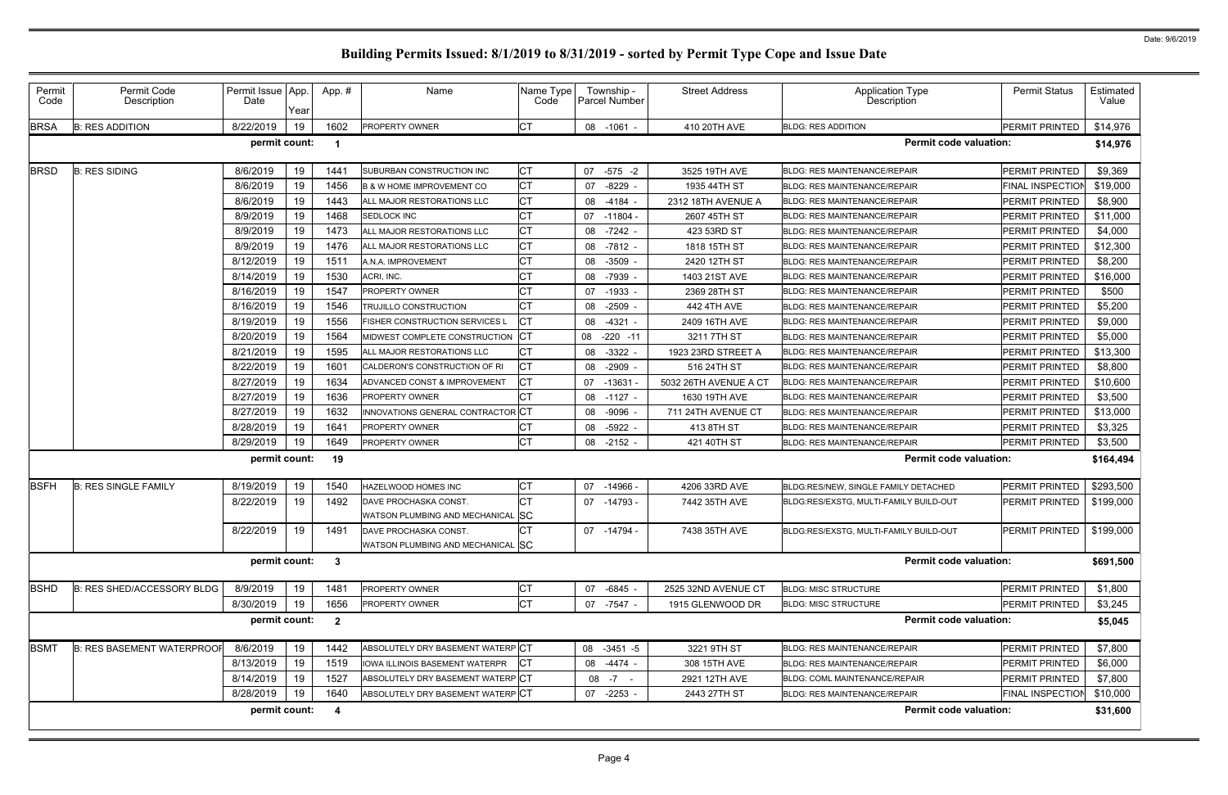| Permit<br>Code | Permit Code<br>Description        | Permit Issue App.<br>Date | Year | App.#                   | Name                                  | Name Type<br>Code | Township -<br><b>Parcel Number</b> | <b>Street Address</b> | <b>Application Type</b><br>Description | <b>Permit Status</b>       | Estimated<br>Value |
|----------------|-----------------------------------|---------------------------|------|-------------------------|---------------------------------------|-------------------|------------------------------------|-----------------------|----------------------------------------|----------------------------|--------------------|
| <b>BRSA</b>    | <b>B: RES ADDITION</b>            | 8/22/2019                 | 19   | 1602                    | <b>PROPERTY OWNER</b>                 | Iст               | 08 -1061 -                         | 410 20TH AVE          | <b>BLDG: RES ADDITION</b>              | PERMIT PRINTED             | \$14,976           |
|                |                                   | permit count:             |      | - 1                     |                                       |                   |                                    |                       | <b>Permit code valuation:</b>          |                            | \$14,976           |
| <b>BRSD</b>    | <b>B: RES SIDING</b>              | 8/6/2019                  | 19   | 1441                    | SUBURBAN CONSTRUCTION INC             | <b>CT</b>         | $-575 - 2$<br>07                   | 3525 19TH AVE         | <b>BLDG: RES MAINTENANCE/REPAIR</b>    | PERMIT PRINTED             | \$9,369            |
|                |                                   | 8/6/2019                  | 19   | 1456                    | <b>B &amp; W HOME IMPROVEMENT CO</b>  | СT                | 07<br>$-8229$ -                    | 1935 44TH ST          | <b>BLDG: RES MAINTENANCE/REPAIR</b>    | <b>FINAL INSPECTION</b>    | \$19,000           |
|                |                                   | 8/6/2019                  | 19   | 1443                    | ALL MAJOR RESTORATIONS LLC            | СT                | $-4184 -$<br>08                    | 2312 18TH AVENUE A    | <b>BLDG: RES MAINTENANCE/REPAIR</b>    | <b>PERMIT PRINTED</b>      | \$8,900            |
|                |                                   | 8/9/2019                  | 19   | 1468                    | SEDLOCK INC                           | СT                | -11804 -<br>07                     | 2607 45TH ST          | <b>BLDG: RES MAINTENANCE/REPAIR</b>    | PERMIT PRINTED             | \$11,000           |
|                |                                   | 8/9/2019                  | 19   | 1473                    | ALL MAJOR RESTORATIONS LLC            |                   | 08<br>$-7242 -$                    | 423 53RD ST           | <b>BLDG: RES MAINTENANCE/REPAIR</b>    | PERMIT PRINTED             | \$4,000            |
|                |                                   | 8/9/2019                  | 19   | 1476                    | ALL MAJOR RESTORATIONS LLC            | СT                | $-7812 -$<br>08                    | 1818 15TH ST          | <b>BLDG: RES MAINTENANCE/REPAIR</b>    | <b>PERMIT PRINTED</b>      | \$12,300           |
|                |                                   | 8/12/2019                 | 19   | 1511                    | A.N.A. IMPROVEMENT                    |                   | $-3509 -$<br>08                    | 2420 12TH ST          | <b>BLDG: RES MAINTENANCE/REPAIR</b>    | PERMIT PRINTED             | \$8,200            |
|                |                                   | 8/14/2019                 | 19   | 1530                    | ACRI, INC.                            |                   | 08<br>-7939 -                      | 1403 21ST AVE         | <b>BLDG: RES MAINTENANCE/REPAIR</b>    | PERMIT PRINTED             | \$16,000           |
|                |                                   | 8/16/2019                 | 19   | 1547                    | <b>PROPERTY OWNER</b>                 |                   | 07<br>$-1933 -$                    | 2369 28TH ST          | <b>BLDG: RES MAINTENANCE/REPAIR</b>    | PERMIT PRINTED             | \$500              |
|                |                                   | 8/16/2019                 | 19   | 1546                    | TRUJILLO CONSTRUCTION                 | СT                | $-2509$ -<br>08                    | 442 4TH AVE           | <b>BLDG: RES MAINTENANCE/REPAIR</b>    | <b>PERMIT PRINTED</b>      | \$5,200            |
|                |                                   | 8/19/2019                 | 19   | 1556                    | <b>FISHER CONSTRUCTION SERVICES L</b> | IСT               | 08<br>$-4321 -$                    | 2409 16TH AVE         | <b>BLDG: RES MAINTENANCE/REPAIR</b>    | <b>PERMIT PRINTED</b>      | \$9,000            |
|                |                                   | 8/20/2019                 | 19   | 1564                    | MIDWEST COMPLETE CONSTRUCTION CT      |                   | 08<br>$-220 - 11$                  | 3211 7TH ST           | <b>BLDG: RES MAINTENANCE/REPAIR</b>    | PERMIT PRINTED             | \$5,000            |
|                |                                   | 8/21/2019                 | 19   | 1595                    | ALL MAJOR RESTORATIONS LLC            |                   | 08<br>$-3322 -$                    | 1923 23RD STREET A    | <b>BLDG: RES MAINTENANCE/REPAIR</b>    | PERMIT PRINTED             | \$13,300           |
|                |                                   | 8/22/2019                 | 19   | 1601                    | CALDERON'S CONSTRUCTION OF RI         | Iст               | $-2909$ -<br>08                    | 516 24TH ST           | <b>BLDG: RES MAINTENANCE/REPAIR</b>    | <b>PERMIT PRINTED</b>      | \$8,800            |
|                |                                   | 8/27/2019                 | 19   | 1634                    | ADVANCED CONST & IMPROVEMENT          | IСТ               | 07 -13631                          | 5032 26TH AVENUE A CT | <b>BLDG: RES MAINTENANCE/REPAIR</b>    | <b>PERMIT PRINTED</b>      | \$10,600           |
|                |                                   | 8/27/2019                 | 19   | 1636                    | <b>PROPERTY OWNER</b>                 | IСТ               | 08<br>$-1127 -$                    | 1630 19TH AVE         | <b>BLDG: RES MAINTENANCE/REPAIR</b>    | PERMIT PRINTED             | \$3,500            |
|                |                                   | 8/27/2019                 | 19   | 1632                    | INNOVATIONS GENERAL CONTRACTOR CT     |                   | $-9096$ .<br>08                    | 711 24TH AVENUE CT    | <b>BLDG: RES MAINTENANCE/REPAIR</b>    | PERMIT PRINTED             | \$13,000           |
|                |                                   | 8/28/2019                 | 19   | 1641                    | <b>PROPERTY OWNER</b>                 |                   | 08<br>$-5922$                      | 413 8TH ST            | <b>BLDG: RES MAINTENANCE/REPAIR</b>    | PERMIT PRINTED             | \$3,325            |
|                |                                   | 8/29/2019                 | 19   | 1649                    | <b>PROPERTY OWNER</b>                 | <b>CT</b>         | 08<br>-2152 -                      | 421 40TH ST           | <b>BLDG: RES MAINTENANCE/REPAIR</b>    | PERMIT PRINTED             | \$3,500            |
|                |                                   | permit count:             |      | 19                      |                                       |                   |                                    |                       | <b>Permit code valuation:</b>          |                            | \$164,494          |
| <b>BSFH</b>    | <b>B: RES SINGLE FAMILY</b>       | 8/19/2019                 | 19   | 1540                    | <b>HAZELWOOD HOMES INC</b>            | СT                | 07 -14966 -                        | 4206 33RD AVE         | BLDG:RES/NEW, SINGLE FAMILY DETACHED   | <b>PERMIT PRINTED</b>      | \$293,500          |
|                |                                   | 8/22/2019                 | 19   | 1492                    | DAVE PROCHASKA CONST.                 |                   | 07 -14793 -                        | 7442 35TH AVE         | BLDG:RES/EXSTG, MULTI-FAMILY BUILD-OUT | PERMIT PRINTED             | \$199,000          |
|                |                                   |                           |      |                         | WATSON PLUMBING AND MECHANICAL SC     |                   |                                    |                       |                                        |                            |                    |
|                |                                   | 8/22/2019                 | 19   | 1491                    | DAVE PROCHASKA CONST.                 |                   | 07 -14794 -                        | 7438 35TH AVE         | BLDG:RES/EXSTG, MULTI-FAMILY BUILD-OUT | PERMIT PRINTED   \$199,000 |                    |
|                |                                   |                           |      |                         | WATSON PLUMBING AND MECHANICAL SC     |                   |                                    |                       |                                        |                            |                    |
|                |                                   | permit count: 3           |      |                         |                                       |                   |                                    |                       | <b>Permit code valuation:</b>          |                            | \$691,500          |
| <b>BSHD</b>    | B: RES SHED/ACCESSORY BLDG        | 8/9/2019                  | 19   | 1481                    | PROPERTY OWNER                        | IСТ               | 07 -6845 -                         | 2525 32ND AVENUE CT   | <b>BLDG: MISC STRUCTURE</b>            | PERMIT PRINTED             | \$1,800            |
|                |                                   | 8/30/2019                 | 19   | 1656                    | <b>PROPERTY OWNER</b>                 | <b>CT</b>         | 07 -7547 -                         | 1915 GLENWOOD DR      | <b>BLDG: MISC STRUCTURE</b>            | PERMIT PRINTED             | \$3,245            |
|                |                                   | permit count:             |      | $\overline{\mathbf{2}}$ |                                       |                   |                                    |                       | <b>Permit code valuation:</b>          |                            | \$5,045            |
| <b>BSMT</b>    | <b>B: RES BASEMENT WATERPROOF</b> | 8/6/2019                  | 19   | 1442                    | ABSOLUTELY DRY BASEMENT WATERP CT     |                   | 08 -3451 -5                        | 3221 9TH ST           | <b>BLDG: RES MAINTENANCE/REPAIR</b>    | PERMIT PRINTED             | \$7,800            |
|                |                                   | 8/13/2019                 | 19   | 1519                    | IOWA ILLINOIS BASEMENT WATERPR        | <b>ICT</b>        | 08 -4474 -                         | 308 15TH AVE          | <b>BLDG: RES MAINTENANCE/REPAIR</b>    | PERMIT PRINTED             | \$6,000            |
|                |                                   | 8/14/2019                 | 19   | 1527                    | ABSOLUTELY DRY BASEMENT WATERPICT     |                   | $08 - 7 -$                         | 2921 12TH AVE         | <b>BLDG: COML MAINTENANCE/REPAIR</b>   | PERMIT PRINTED             | \$7,800            |
|                |                                   | 8/28/2019                 | 19   | 1640                    | ABSOLUTELY DRY BASEMENT WATERPCT      |                   | 07 -2253 -                         | 2443 27TH ST          | <b>BLDG: RES MAINTENANCE/REPAIR</b>    | <b>FINAL INSPECTION</b>    | \$10,000           |
|                |                                   | permit count:             |      | -4                      |                                       |                   |                                    |                       | <b>Permit code valuation:</b>          |                            | \$31,600           |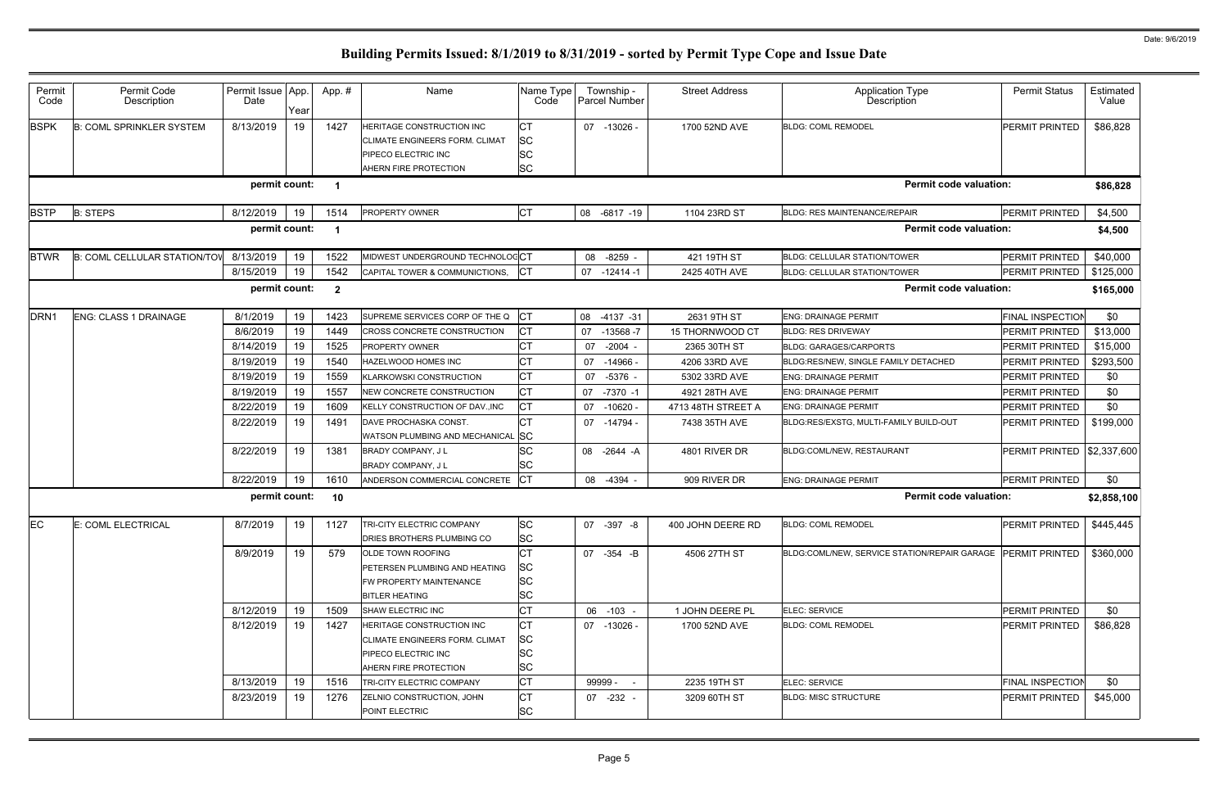| Permit<br>Code   | Permit Code<br>Description          | Permit Issue App.<br>Date | Year | App. #                  | Name                                                                                                                      | Name Type<br>Code                                 | Township -<br><b>Parcel Number</b> | <b>Street Address</b> | <b>Application Type</b><br>Description                      | <b>Permit Status</b>    | Estimated<br>Value |
|------------------|-------------------------------------|---------------------------|------|-------------------------|---------------------------------------------------------------------------------------------------------------------------|---------------------------------------------------|------------------------------------|-----------------------|-------------------------------------------------------------|-------------------------|--------------------|
| <b>BSPK</b>      | <b>B: COML SPRINKLER SYSTEM</b>     | 8/13/2019                 | 19   | 1427                    | HERITAGE CONSTRUCTION INC<br><b>CLIMATE ENGINEERS FORM. CLIMAT</b><br>PIPECO ELECTRIC INC<br>AHERN FIRE PROTECTION        | <b>CT</b><br><b>SC</b><br><b>SC</b><br><b>SC</b>  | 07 -13026 -                        | 1700 52ND AVE         | <b>BLDG: COML REMODEL</b>                                   | <b>PERMIT PRINTED</b>   | \$86,828           |
|                  |                                     | permit count:             |      | $\overline{\mathbf{1}}$ |                                                                                                                           |                                                   |                                    |                       | <b>Permit code valuation:</b>                               |                         | \$86,828           |
| <b>BSTP</b>      | <b>B: STEPS</b>                     | 8/12/2019                 | 19   | 1514                    | <b>PROPERTY OWNER</b>                                                                                                     | <b>CT</b>                                         | 08 -6817 -19                       | 1104 23RD ST          | <b>BLDG: RES MAINTENANCE/REPAIR</b>                         | PERMIT PRINTED          | \$4,500            |
|                  |                                     | permit count:             |      | - 1                     |                                                                                                                           |                                                   |                                    |                       | <b>Permit code valuation:</b>                               |                         | \$4,500            |
| <b>BTWR</b>      | <b>B: COML CELLULAR STATION/TOV</b> | 8/13/2019                 | 19   | 1522                    | MIDWEST UNDERGROUND TECHNOLOGCT                                                                                           |                                                   | 08 -8259 -                         | 421 19TH ST           | <b>BLDG: CELLULAR STATION/TOWER</b>                         | PERMIT PRINTED          | \$40,000           |
|                  |                                     | 8/15/2019                 | 19   | 1542                    | CAPITAL TOWER & COMMUNICTIONS,                                                                                            | <b>ICT</b>                                        | 07<br>$-12414-1$                   | 2425 40TH AVE         | <b>BLDG: CELLULAR STATION/TOWER</b>                         | PERMIT PRINTED          | \$125,000          |
|                  |                                     | permit count:             |      | $\overline{\mathbf{2}}$ |                                                                                                                           |                                                   |                                    |                       | <b>Permit code valuation:</b>                               |                         | \$165,000          |
| DRN <sub>1</sub> | <b>ENG: CLASS 1 DRAINAGE</b>        | 8/1/2019                  | 19   | 1423                    | SUPREME SERVICES CORP OF THE Q                                                                                            | $ _{\rm CT}$                                      | 08 -4137 -31                       | 2631 9TH ST           | <b>ENG: DRAINAGE PERMIT</b>                                 | <b>FINAL INSPECTION</b> | \$0                |
|                  |                                     | 8/6/2019                  | 19   | 1449                    | CROSS CONCRETE CONSTRUCTION                                                                                               | Iст                                               | 07<br>$-13568 - 7$                 | 15 THORNWOOD CT       | <b>BLDG: RES DRIVEWAY</b>                                   | PERMIT PRINTED          | \$13,000           |
|                  |                                     | 8/14/2019                 | 19   | 1525                    | <b>PROPERTY OWNER</b>                                                                                                     | <b>CT</b>                                         | 07<br>$-2004 -$                    | 2365 30TH ST          | <b>BLDG: GARAGES/CARPORTS</b>                               | PERMIT PRINTED          | \$15,000           |
|                  |                                     | 8/19/2019                 | 19   | 1540                    | HAZELWOOD HOMES INC                                                                                                       | <b>CT</b>                                         | 07<br>-14966 -                     | 4206 33RD AVE         | BLDG:RES/NEW, SINGLE FAMILY DETACHED                        | PERMIT PRINTED          | \$293,500          |
|                  |                                     | 8/19/2019                 | 19   | 1559                    | <b>KLARKOWSKI CONSTRUCTION</b>                                                                                            | <b>CT</b>                                         | 07 -5376 -                         | 5302 33RD AVE         | <b>ENG: DRAINAGE PERMIT</b>                                 | <b>PERMIT PRINTED</b>   | \$0                |
|                  |                                     | 8/19/2019                 | 19   | 1557                    | <b>NEW CONCRETE CONSTRUCTION</b>                                                                                          | <b>CT</b>                                         | 07<br>$-7370 - 1$                  | 4921 28TH AVE         | <b>ENG: DRAINAGE PERMIT</b>                                 | <b>PERMIT PRINTED</b>   | \$0                |
|                  |                                     | 8/22/2019                 | 19   | 1609                    | KELLY CONSTRUCTION OF DAV., INC                                                                                           | <b>ICT</b>                                        | 07 -10620 -                        | 4713 48TH STREET A    | <b>ENG: DRAINAGE PERMIT</b>                                 | <b>PERMIT PRINTED</b>   | \$0                |
|                  |                                     | 8/22/2019                 | 19   | 1491                    | DAVE PROCHASKA CONST.<br>WATSON PLUMBING AND MECHANICAL SC                                                                | IСТ                                               | 07<br>-14794 -                     | 7438 35TH AVE         | BLDG:RES/EXSTG, MULTI-FAMILY BUILD-OUT                      | PERMIT PRINTED          | \$199,000          |
|                  |                                     | 8/22/2019                 | 19   | 1381                    | <b>BRADY COMPANY, JL</b><br>BRADY COMPANY, J L                                                                            | <b>SC</b><br><b>SC</b>                            | -2644 -A<br>08                     | 4801 RIVER DR         | BLDG:COML/NEW, RESTAURANT                                   | PERMIT PRINTED          | \$2,337,600        |
|                  |                                     | 8/22/2019                 | 19   | 1610                    | ANDERSON COMMERCIAL CONCRETE                                                                                              | <b>ICT</b>                                        | 08<br>$-4394 -$                    | 909 RIVER DR          | <b>ENG: DRAINAGE PERMIT</b>                                 | PERMIT PRINTED          | \$0                |
|                  |                                     | permit count:             |      | 10                      |                                                                                                                           |                                                   |                                    |                       | <b>Permit code valuation:</b>                               |                         | \$2,858,100        |
| EC               | E: COML ELECTRICAL                  | 8/7/2019                  | 19   | 1127                    | TRI-CITY ELECTRIC COMPANY<br><b>DRIES BROTHERS PLUMBING CO</b>                                                            | <b>SC</b><br><b>SC</b>                            | 07 -397 -8                         | 400 JOHN DEERE RD     | <b>BLDG: COML REMODEL</b>                                   | PERMIT PRINTED          | \$445,445          |
|                  |                                     | 8/9/2019                  | 19   | 579                     | OLDE TOWN ROOFING<br>PETERSEN PLUMBING AND HEATING<br>FW PROPERTY MAINTENANCE<br><b>BITLER HEATING</b>                    | <b>ICT</b><br><b>SC</b><br><b>SC</b><br><b>SC</b> | 07 -354 -B                         | 4506 27TH ST          | BLDG:COML/NEW, SERVICE STATION/REPAIR GARAGE PERMIT PRINTED |                         | \$360,000          |
|                  |                                     | 8/12/2019                 | 19   | 1509                    | SHAW ELECTRIC INC                                                                                                         | <b>CT</b>                                         | 06 -103 -                          | 1 JOHN DEERE PL       | ELEC: SERVICE                                               | <b>PERMIT PRINTED</b>   | \$0                |
|                  |                                     | 8/12/2019                 | 19   | 1427                    | HERITAGE CONSTRUCTION INC<br><b>CLIMATE ENGINEERS FORM. CLIMAT</b><br><b>PIPECO ELECTRIC INC</b><br>AHERN FIRE PROTECTION | <b>CT</b><br><b>SC</b><br><b>SC</b><br><b>SC</b>  | 07 -13026 -                        | 1700 52ND AVE         | <b>BLDG: COML REMODEL</b>                                   | <b>PERMIT PRINTED</b>   | \$86,828           |
|                  |                                     | 8/13/2019                 | 19   | 1516                    | TRI-CITY ELECTRIC COMPANY                                                                                                 | <b>CT</b>                                         | 99999 -                            | 2235 19TH ST          | <b>ELEC: SERVICE</b>                                        | <b>FINAL INSPECTION</b> | \$0                |
|                  |                                     | 8/23/2019                 | 19   | 1276                    | ZELNIO CONSTRUCTION, JOHN<br>POINT ELECTRIC                                                                               | <b>CT</b><br><b>SC</b>                            | 07 -232 -                          | 3209 60TH ST          | <b>BLDG: MISC STRUCTURE</b>                                 | PERMIT PRINTED          | \$45,000           |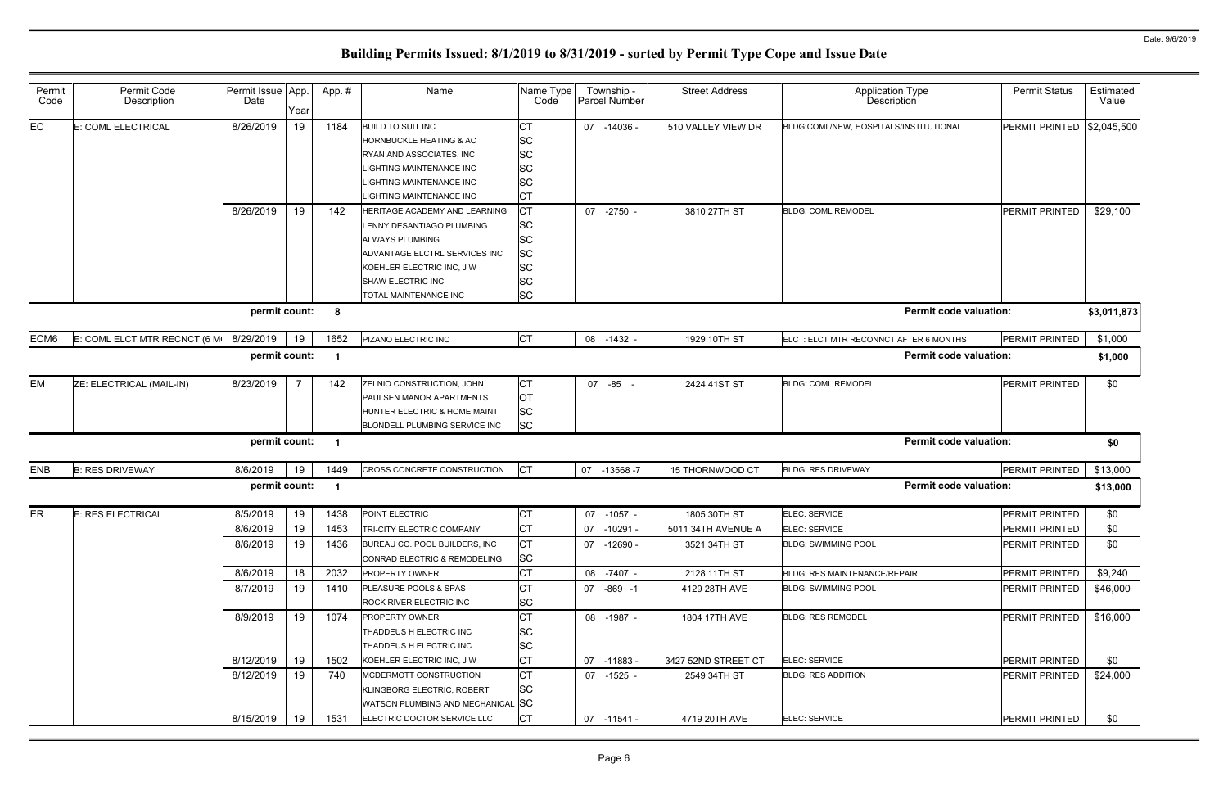| Permit<br>Code | Permit Code<br>Description   | Permit Issue App.<br>Date | Year | App. #                  | Name                                                                                                                                                                                             | Name Type<br>Code                                                                 | Township -<br>Parcel Number | <b>Street Address</b> | <b>Application Type</b><br>Description | <b>Permit Status</b>  | Estimated<br>Value |
|----------------|------------------------------|---------------------------|------|-------------------------|--------------------------------------------------------------------------------------------------------------------------------------------------------------------------------------------------|-----------------------------------------------------------------------------------|-----------------------------|-----------------------|----------------------------------------|-----------------------|--------------------|
| EC.            | E: COML ELECTRICAL           | 8/26/2019                 | 19   | 1184                    | <b>BUILD TO SUIT INC</b><br><b>HORNBUCKLE HEATING &amp; AC</b><br>RYAN AND ASSOCIATES, INC<br>LIGHTING MAINTENANCE INC<br>LIGHTING MAINTENANCE INC<br>LIGHTING MAINTENANCE INC                   | <b>CT</b><br><b>SC</b><br><b>SC</b><br><b>SC</b><br><b>SC</b><br><b>CT</b>        | 07 -14036 -                 | 510 VALLEY VIEW DR    | BLDG:COML/NEW, HOSPITALS/INSTITUTIONAL | PERMIT PRINTED        | \$2,045,500        |
|                |                              | 8/26/2019                 | 19   | 142                     | HERITAGE ACADEMY AND LEARNING<br>LENNY DESANTIAGO PLUMBING<br><b>ALWAYS PLUMBING</b><br>ADVANTAGE ELCTRL SERVICES INC<br>KOEHLER ELECTRIC INC, J W<br>SHAW ELECTRIC INC<br>TOTAL MAINTENANCE INC | Iст<br><b>SC</b><br><b>SC</b><br><b>SC</b><br><b>SC</b><br><b>SC</b><br><b>SC</b> | -2750 -<br>07               | 3810 27TH ST          | <b>BLDG: COML REMODEL</b>              | <b>PERMIT PRINTED</b> | \$29,100           |
|                |                              | permit count:             |      | $\overline{\mathbf{8}}$ |                                                                                                                                                                                                  |                                                                                   |                             |                       | <b>Permit code valuation:</b>          |                       | \$3,011,873        |
| ECM6           | E: COML ELCT MTR RECNCT (6 M | 8/29/2019                 | 19   | 1652                    | PIZANO ELECTRIC INC                                                                                                                                                                              | <b>CT</b>                                                                         | 08 -1432 -                  | 1929 10TH ST          | ELCT: ELCT MTR RECONNCT AFTER 6 MONTHS | PERMIT PRINTED        | \$1,000            |
|                |                              | permit count:             |      | $\overline{\mathbf{1}}$ |                                                                                                                                                                                                  |                                                                                   |                             |                       | <b>Permit code valuation:</b>          |                       | \$1,000            |
| <b>EM</b>      | ZE: ELECTRICAL (MAIL-IN)     | 8/23/2019                 |      | 142                     | ZELNIO CONSTRUCTION, JOHN<br>PAULSEN MANOR APARTMENTS<br>HUNTER ELECTRIC & HOME MAINT<br>BLONDELL PLUMBING SERVICE INC                                                                           | <b>CT</b><br><b>OT</b><br><b>SC</b><br><b>SC</b>                                  | 07 -85                      | 2424 41ST ST          | <b>BLDG: COML REMODEL</b>              | PERMIT PRINTED        | \$0                |
|                |                              | permit count:             |      | $\overline{\mathbf{1}}$ |                                                                                                                                                                                                  |                                                                                   |                             |                       | <b>Permit code valuation:</b>          |                       | \$0                |
| <b>ENB</b>     | <b>B: RES DRIVEWAY</b>       | 8/6/2019                  | 19   | 1449                    | CROSS CONCRETE CONSTRUCTION                                                                                                                                                                      | <b>CT</b>                                                                         | 07 -13568 -7                | 15 THORNWOOD CT       | <b>BLDG: RES DRIVEWAY</b>              | PERMIT PRINTED        | \$13,000           |
|                |                              | permit count:             |      | $\overline{\mathbf{1}}$ |                                                                                                                                                                                                  |                                                                                   |                             |                       | <b>Permit code valuation:</b>          |                       | \$13,000           |
| <b>ER</b>      | E: RES ELECTRICAL            | 8/5/2019                  | 19   | 1438                    | POINT ELECTRIC                                                                                                                                                                                   | <b>CT</b>                                                                         | 07 -1057 -                  | 1805 30TH ST          | ELEC: SERVICE                          | PERMIT PRINTED        | \$0                |
|                |                              | 8/6/2019                  | 19   | 1453                    | TRI-CITY ELECTRIC COMPANY                                                                                                                                                                        | I∩т<br>◡                                                                          | 07 -10291 -                 | 5011 34TH AVENUE A    | ELEC: SERVICE                          | PERMIT PRINTED        | \$0                |
|                |                              | 8/6/2019                  | 19   | 1436                    | BUREAU CO. POOL BUILDERS, INC<br>CONRAD ELECTRIC & REMODELING                                                                                                                                    | <b>CT</b><br><b>SC</b>                                                            | 07 -12690 -                 | 3521 34TH ST          | <b>BLDG: SWIMMING POOL</b>             | <b>PERMIT PRINTED</b> | \$0                |
|                |                              | 8/6/2019                  | 18   | 2032                    | <b>PROPERTY OWNER</b>                                                                                                                                                                            | <b>CT</b>                                                                         | 08 -7407 -                  | 2128 11TH ST          | <b>BLDG: RES MAINTENANCE/REPAIR</b>    | PERMIT PRINTED        | \$9,240            |
|                |                              | 8/7/2019                  | 19   | 1410                    | PLEASURE POOLS & SPAS<br>ROCK RIVER ELECTRIC INC                                                                                                                                                 | <b>CT</b><br><b>SC</b>                                                            | 07 -869 -1                  | 4129 28TH AVE         | <b>BLDG: SWIMMING POOL</b>             | <b>PERMIT PRINTED</b> | \$46,000           |
|                |                              | 8/9/2019                  | 19   | 1074                    | <b>PROPERTY OWNER</b><br>THADDEUS H ELECTRIC INC<br>THADDEUS H ELECTRIC INC                                                                                                                      | <b>CT</b><br><b>SC</b><br><b>SC</b>                                               | 08 -1987 -                  | 1804 17TH AVE         | <b>BLDG: RES REMODEL</b>               | <b>PERMIT PRINTED</b> | \$16,000           |
|                |                              | 8/12/2019                 | 19   | 1502                    | KOEHLER ELECTRIC INC, J W                                                                                                                                                                        | <b>CT</b>                                                                         | 07 -11883 -                 | 3427 52ND STREET CT   | ELEC: SERVICE                          | PERMIT PRINTED        | \$0                |
|                |                              |                           | 19   | 740                     | MCDERMOTT CONSTRUCTION                                                                                                                                                                           | <b>CT</b>                                                                         | 07 -1525 -                  | 2549 34TH ST          | <b>BLDG: RES ADDITION</b>              | PERMIT PRINTED        | \$24,000           |
|                |                              | 8/12/2019                 |      |                         | KLINGBORG ELECTRIC, ROBERT<br>WATSON PLUMBING AND MECHANICAL SC                                                                                                                                  | <b>SC</b>                                                                         |                             |                       |                                        |                       |                    |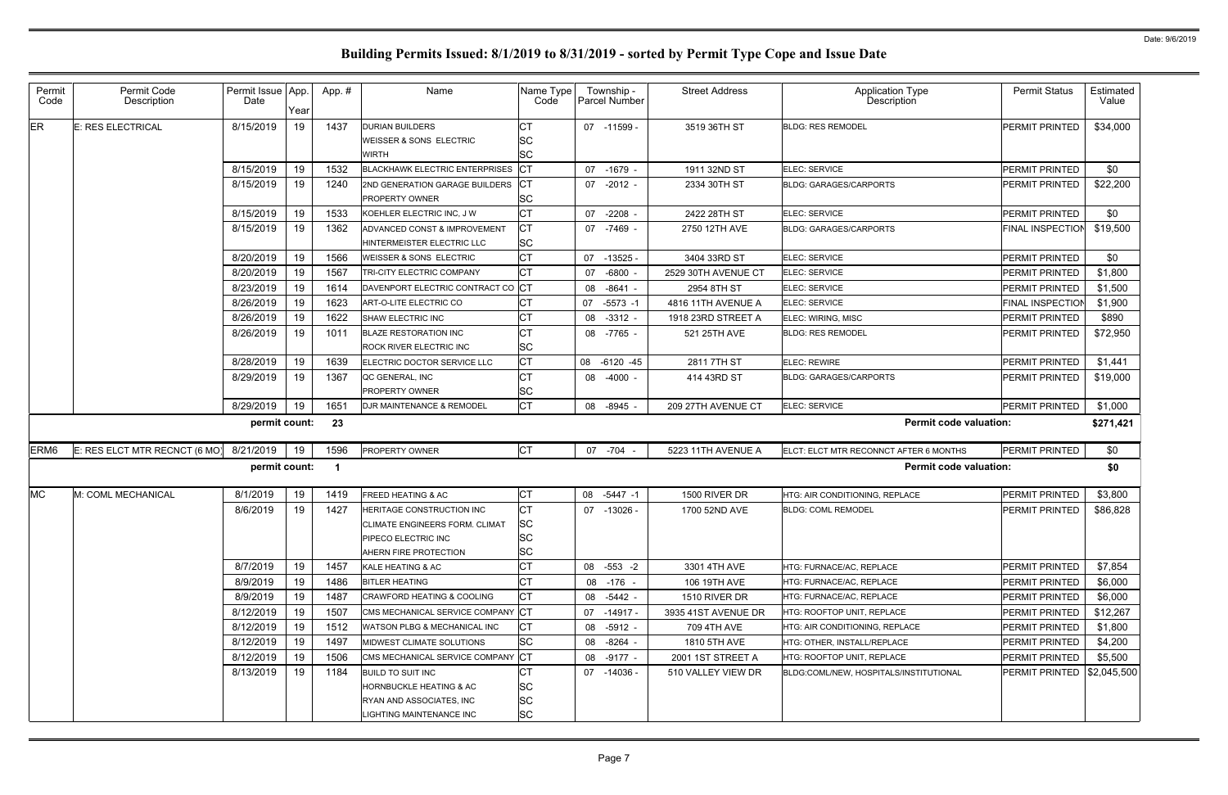| Permit Code<br>Description    | Date      | Year | App.#             | Name                           | Code                                                                                                                                                                                                                                                                                                                                                                                                                                                                                                                                                                                                                                                                                                                                                                                                                                                                                                                 | Township -<br>Parcel Number                                                                                                                                                                                                                                                                                                                   | <b>Street Address</b> | <b>Application Type</b><br><b>Description</b> | <b>Permit Status</b>                                                                                                                                                       | Estimated<br>Value                                             |
|-------------------------------|-----------|------|-------------------|--------------------------------|----------------------------------------------------------------------------------------------------------------------------------------------------------------------------------------------------------------------------------------------------------------------------------------------------------------------------------------------------------------------------------------------------------------------------------------------------------------------------------------------------------------------------------------------------------------------------------------------------------------------------------------------------------------------------------------------------------------------------------------------------------------------------------------------------------------------------------------------------------------------------------------------------------------------|-----------------------------------------------------------------------------------------------------------------------------------------------------------------------------------------------------------------------------------------------------------------------------------------------------------------------------------------------|-----------------------|-----------------------------------------------|----------------------------------------------------------------------------------------------------------------------------------------------------------------------------|----------------------------------------------------------------|
| E: RES ELECTRICAL             | 8/15/2019 | 19   | 1437              |                                | СT                                                                                                                                                                                                                                                                                                                                                                                                                                                                                                                                                                                                                                                                                                                                                                                                                                                                                                                   | 07 -11599 -                                                                                                                                                                                                                                                                                                                                   | 3519 36TH ST          |                                               | PERMIT PRINTED                                                                                                                                                             | \$34,000                                                       |
|                               | 8/15/2019 | 19   | 1532              |                                |                                                                                                                                                                                                                                                                                                                                                                                                                                                                                                                                                                                                                                                                                                                                                                                                                                                                                                                      | 07<br>-1679 -                                                                                                                                                                                                                                                                                                                                 | 1911 32ND ST          | ELEC: SERVICE                                 | PERMIT PRINTED                                                                                                                                                             | \$0                                                            |
|                               | 8/15/2019 | 19   | 1240              |                                |                                                                                                                                                                                                                                                                                                                                                                                                                                                                                                                                                                                                                                                                                                                                                                                                                                                                                                                      | 07 -2012 -                                                                                                                                                                                                                                                                                                                                    | 2334 30TH ST          | <b>BLDG: GARAGES/CARPORTS</b>                 | PERMIT PRINTED                                                                                                                                                             | \$22,200                                                       |
|                               | 8/15/2019 | 19   | 1533              |                                | <b>CT</b>                                                                                                                                                                                                                                                                                                                                                                                                                                                                                                                                                                                                                                                                                                                                                                                                                                                                                                            | $-2208$<br>07                                                                                                                                                                                                                                                                                                                                 | 2422 28TH ST          | ELEC: SERVICE                                 | PERMIT PRINTED                                                                                                                                                             | \$0                                                            |
|                               | 8/15/2019 | 19   | 1362              | ADVANCED CONST & IMPROVEMENT   |                                                                                                                                                                                                                                                                                                                                                                                                                                                                                                                                                                                                                                                                                                                                                                                                                                                                                                                      | 07 -7469 -                                                                                                                                                                                                                                                                                                                                    | 2750 12TH AVE         |                                               | <b>FINAL INSPECTION</b>                                                                                                                                                    | \$19,500                                                       |
|                               | 8/20/2019 | 19   | 1566              |                                | lст                                                                                                                                                                                                                                                                                                                                                                                                                                                                                                                                                                                                                                                                                                                                                                                                                                                                                                                  | 07<br>$-13525$                                                                                                                                                                                                                                                                                                                                | 3404 33RD ST          | ELEC: SERVICE                                 | PERMIT PRINTED                                                                                                                                                             | \$0                                                            |
|                               | 8/20/2019 | 19   | 1567              | TRI-CITY ELECTRIC COMPANY      | Iст                                                                                                                                                                                                                                                                                                                                                                                                                                                                                                                                                                                                                                                                                                                                                                                                                                                                                                                  | $-6800 -$<br>07                                                                                                                                                                                                                                                                                                                               | 2529 30TH AVENUE CT   | ELEC: SERVICE                                 | PERMIT PRINTED                                                                                                                                                             | \$1,800                                                        |
|                               | 8/23/2019 | 19   | 1614              |                                |                                                                                                                                                                                                                                                                                                                                                                                                                                                                                                                                                                                                                                                                                                                                                                                                                                                                                                                      | -8641 -<br>08                                                                                                                                                                                                                                                                                                                                 | 2954 8TH ST           | ELEC: SERVICE                                 | PERMIT PRINTED                                                                                                                                                             | \$1,500                                                        |
|                               | 8/26/2019 | 19   | 1623              |                                | <b>CT</b>                                                                                                                                                                                                                                                                                                                                                                                                                                                                                                                                                                                                                                                                                                                                                                                                                                                                                                            | 07<br>$-5573 - 1$                                                                                                                                                                                                                                                                                                                             | 4816 11TH AVENUE A    | ELEC: SERVICE                                 | FINAL INSPECTION                                                                                                                                                           | \$1,900                                                        |
|                               | 8/26/2019 | 19   | 1622              |                                | Iст                                                                                                                                                                                                                                                                                                                                                                                                                                                                                                                                                                                                                                                                                                                                                                                                                                                                                                                  | 08<br>$-3312 -$                                                                                                                                                                                                                                                                                                                               | 1918 23RD STREET A    | ELEC: WIRING, MISC                            | PERMIT PRINTED                                                                                                                                                             | \$890                                                          |
|                               | 8/26/2019 | 19   | 1011              |                                | <b>CT</b>                                                                                                                                                                                                                                                                                                                                                                                                                                                                                                                                                                                                                                                                                                                                                                                                                                                                                                            | 08<br>-7765 -                                                                                                                                                                                                                                                                                                                                 | 521 25TH AVE          | <b>BLDG: RES REMODEL</b>                      | PERMIT PRINTED                                                                                                                                                             | \$72,950                                                       |
|                               | 8/28/2019 | 19   | 1639              |                                | Iст                                                                                                                                                                                                                                                                                                                                                                                                                                                                                                                                                                                                                                                                                                                                                                                                                                                                                                                  | 08<br>$-6120 - 45$                                                                                                                                                                                                                                                                                                                            | 2811 7TH ST           | <b>ELEC: REWIRE</b>                           | PERMIT PRINTED                                                                                                                                                             | \$1,441                                                        |
|                               | 8/29/2019 | 19   | 1367              |                                | <b>CT</b>                                                                                                                                                                                                                                                                                                                                                                                                                                                                                                                                                                                                                                                                                                                                                                                                                                                                                                            | 08<br>-4000 -                                                                                                                                                                                                                                                                                                                                 | 414 43RD ST           | <b>BLDG: GARAGES/CARPORTS</b>                 | PERMIT PRINTED                                                                                                                                                             | \$19,000                                                       |
|                               | 8/29/2019 | 19   | 1651              |                                | lст                                                                                                                                                                                                                                                                                                                                                                                                                                                                                                                                                                                                                                                                                                                                                                                                                                                                                                                  | $-8945 -$<br>08                                                                                                                                                                                                                                                                                                                               | 209 27TH AVENUE CT    | ELEC: SERVICE                                 | PERMIT PRINTED                                                                                                                                                             | \$1,000                                                        |
|                               |           |      | 23                |                                |                                                                                                                                                                                                                                                                                                                                                                                                                                                                                                                                                                                                                                                                                                                                                                                                                                                                                                                      |                                                                                                                                                                                                                                                                                                                                               |                       |                                               |                                                                                                                                                                            | \$271,421                                                      |
| E: RES ELCT MTR RECNCT (6 MO) | 8/21/2019 | 19   | 1596              |                                |                                                                                                                                                                                                                                                                                                                                                                                                                                                                                                                                                                                                                                                                                                                                                                                                                                                                                                                      | 07 -704 -                                                                                                                                                                                                                                                                                                                                     | 5223 11TH AVENUE A    |                                               | PERMIT PRINTED                                                                                                                                                             | \$0                                                            |
|                               |           |      |                   |                                |                                                                                                                                                                                                                                                                                                                                                                                                                                                                                                                                                                                                                                                                                                                                                                                                                                                                                                                      |                                                                                                                                                                                                                                                                                                                                               |                       |                                               |                                                                                                                                                                            | \$0                                                            |
| M: COML MECHANICAL            | 8/1/2019  | 19   | 1419              |                                | <b>CT</b>                                                                                                                                                                                                                                                                                                                                                                                                                                                                                                                                                                                                                                                                                                                                                                                                                                                                                                            | 08<br>$-5447 - 1$                                                                                                                                                                                                                                                                                                                             | 1500 RIVER DR         | HTG: AIR CONDITIONING, REPLACE                | PERMIT PRINTED                                                                                                                                                             | \$3,800                                                        |
|                               | 8/6/2019  | 19   | 1427              | HERITAGE CONSTRUCTION INC      | <b>CT</b>                                                                                                                                                                                                                                                                                                                                                                                                                                                                                                                                                                                                                                                                                                                                                                                                                                                                                                            | -13026 -<br>07                                                                                                                                                                                                                                                                                                                                | 1700 52ND AVE         |                                               | PERMIT PRINTED                                                                                                                                                             | \$86,828                                                       |
|                               | 8/7/2019  | 19   | 1457              |                                | Iст                                                                                                                                                                                                                                                                                                                                                                                                                                                                                                                                                                                                                                                                                                                                                                                                                                                                                                                  | 08 -553 -2                                                                                                                                                                                                                                                                                                                                    | 3301 4TH AVE          | HTG: FURNACE/AC, REPLACE                      | PERMIT PRINTED                                                                                                                                                             | \$7,854                                                        |
|                               | 8/9/2019  | 19   | 1486              |                                | Iст                                                                                                                                                                                                                                                                                                                                                                                                                                                                                                                                                                                                                                                                                                                                                                                                                                                                                                                  | 08 -176 -                                                                                                                                                                                                                                                                                                                                     | 106 19TH AVE          | HTG: FURNACE/AC, REPLACE                      | PERMIT PRINTED                                                                                                                                                             | \$6,000                                                        |
|                               | 8/9/2019  | 19   | 1487              |                                | Iст                                                                                                                                                                                                                                                                                                                                                                                                                                                                                                                                                                                                                                                                                                                                                                                                                                                                                                                  | 08 -5442 -                                                                                                                                                                                                                                                                                                                                    | 1510 RIVER DR         | HTG: FURNACE/AC, REPLACE                      | PERMIT PRINTED                                                                                                                                                             | \$6,000                                                        |
|                               | 8/12/2019 | 19   | 1507              |                                |                                                                                                                                                                                                                                                                                                                                                                                                                                                                                                                                                                                                                                                                                                                                                                                                                                                                                                                      | 07 -14917 -                                                                                                                                                                                                                                                                                                                                   | 3935 41ST AVENUE DR   | HTG: ROOFTOP UNIT, REPLACE                    | PERMIT PRINTED                                                                                                                                                             | \$12,267                                                       |
|                               | 8/12/2019 | 19   | 1512              |                                | IСТ                                                                                                                                                                                                                                                                                                                                                                                                                                                                                                                                                                                                                                                                                                                                                                                                                                                                                                                  | 08 -5912 -                                                                                                                                                                                                                                                                                                                                    | 709 4TH AVE           | HTG: AIR CONDITIONING. REPLACE                | PERMIT PRINTED                                                                                                                                                             | \$1,800                                                        |
|                               | 8/12/2019 | 19   | 1497              |                                |                                                                                                                                                                                                                                                                                                                                                                                                                                                                                                                                                                                                                                                                                                                                                                                                                                                                                                                      | 08 -8264 -                                                                                                                                                                                                                                                                                                                                    | 1810 5TH AVE          | HTG: OTHER, INSTALL/REPLACE                   | PERMIT PRINTED                                                                                                                                                             | \$4,200                                                        |
|                               | 8/12/2019 | 19   | 1506              |                                |                                                                                                                                                                                                                                                                                                                                                                                                                                                                                                                                                                                                                                                                                                                                                                                                                                                                                                                      | 08 -9177 -                                                                                                                                                                                                                                                                                                                                    | 2001 1ST STREET A     | HTG: ROOFTOP UNIT, REPLACE                    | <b>PERMIT PRINTED</b>                                                                                                                                                      | \$5,500                                                        |
|                               | 8/13/2019 | 19   | 1184              |                                | IСТ                                                                                                                                                                                                                                                                                                                                                                                                                                                                                                                                                                                                                                                                                                                                                                                                                                                                                                                  | 07 -14036 -                                                                                                                                                                                                                                                                                                                                   | 510 VALLEY VIEW DR    |                                               | PERMIT PRINTED   \$2,045,500                                                                                                                                               |                                                                |
|                               |           |      | Permit Issue App. | permit count:<br>permit count: | <b>DURIAN BUILDERS</b><br>WEISSER & SONS ELECTRIC<br><b>WIRTH</b><br>2ND GENERATION GARAGE BUILDERS<br><b>PROPERTY OWNER</b><br>KOEHLER ELECTRIC INC. J W<br>HINTERMEISTER ELECTRIC LLC<br><b>WEISSER &amp; SONS ELECTRIC</b><br>ART-O-LITE ELECTRIC CO<br>SHAW ELECTRIC INC<br><b>BLAZE RESTORATION INC</b><br><b>ROCK RIVER ELECTRIC INC</b><br>ELECTRIC DOCTOR SERVICE LLC<br>QC GENERAL, INC<br><b>PROPERTY OWNER</b><br><b>DJR MAINTENANCE &amp; REMODEL</b><br><b>PROPERTY OWNER</b><br><b>FREED HEATING &amp; AC</b><br><b>CLIMATE ENGINEERS FORM. CLIMAT</b><br><b>PIPECO ELECTRIC INC</b><br>AHERN FIRE PROTECTION<br>KALE HEATING & AC<br><b>BITLER HEATING</b><br><b>CRAWFORD HEATING &amp; COOLING</b><br><b>WATSON PLBG &amp; MECHANICAL INC</b><br>MIDWEST CLIMATE SOLUTIONS<br><b>BUILD TO SUIT INC</b><br><b>HORNBUCKLE HEATING &amp; AC</b><br>RYAN AND ASSOCIATES, INC<br>LIGHTING MAINTENANCE INC | <b>SC</b><br><b>SC</b><br>BLACKHAWK ELECTRIC ENTERPRISES CT<br><b>SC</b><br>Iст<br><b>SC</b><br>DAVENPORT ELECTRIC CONTRACT CO CT<br><b>SC</b><br><b>SC</b><br><b>CT</b><br><b>SC</b><br><b>SC</b><br><b>SC</b><br>CMS MECHANICAL SERVICE COMPANY CT<br><b>SC</b><br>CMS MECHANICAL SERVICE COMPANY CT<br><b>SC</b><br><b>SC</b><br><b>SC</b> | Name Type             |                                               | <b>BLDG: RES REMODEL</b><br><b>BLDG: GARAGES/CARPORTS</b><br>ELCT: ELCT MTR RECONNCT AFTER 6 MONTHS<br><b>BLDG: COML REMODEL</b><br>BLDG:COML/NEW, HOSPITALS/INSTITUTIONAL | <b>Permit code valuation:</b><br><b>Permit code valuation:</b> |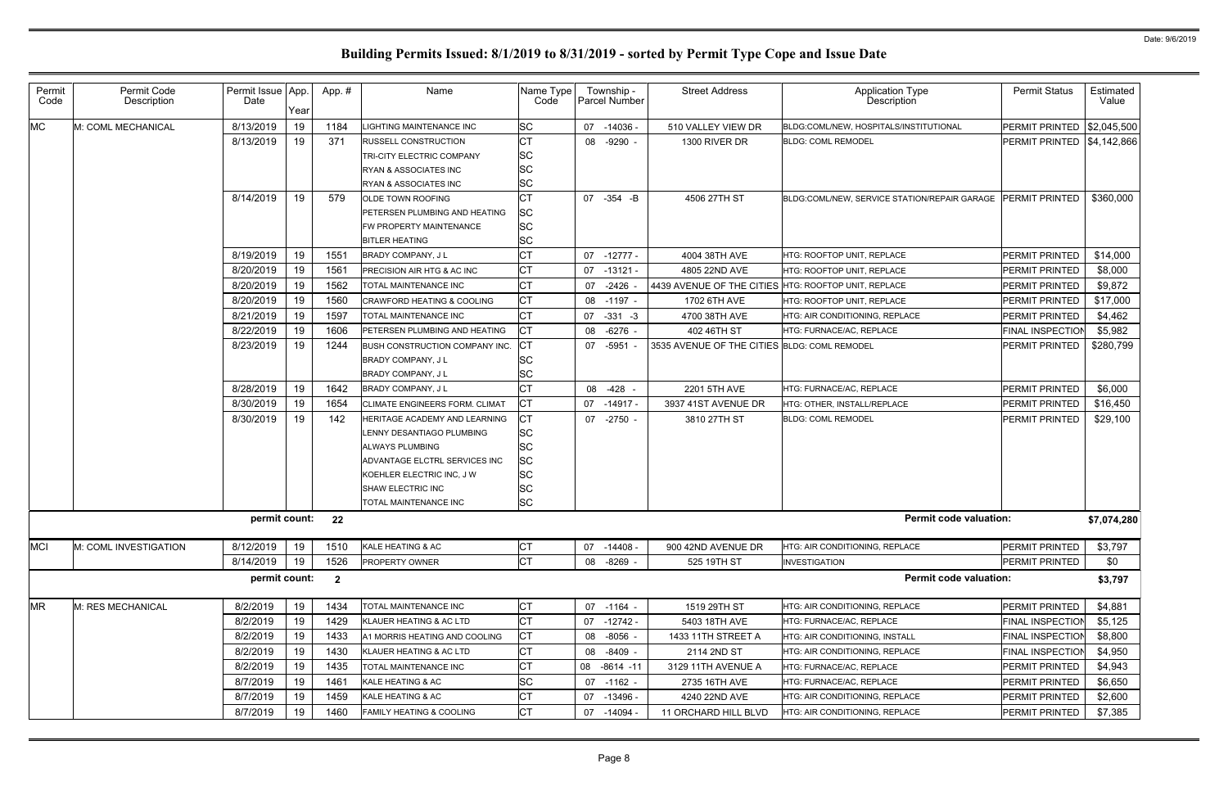| Permit<br>Code | Permit Code<br>Description | Permit Issue   App.<br>Date | Year | App.#                   | Name                                                                                                                                                                                                    | Name Type<br>Code                                                                | Township -<br><b>Parcel Number</b> | <b>Street Address</b>                                | Application Type<br>Description                             | <b>Permit Status</b>              | Estimated<br>Value |
|----------------|----------------------------|-----------------------------|------|-------------------------|---------------------------------------------------------------------------------------------------------------------------------------------------------------------------------------------------------|----------------------------------------------------------------------------------|------------------------------------|------------------------------------------------------|-------------------------------------------------------------|-----------------------------------|--------------------|
| <b>MC</b>      | M: COML MECHANICAL         | 8/13/2019                   | 19   | 1184                    | <b>IGHTING MAINTENANCE INC</b>                                                                                                                                                                          | <b>SC</b>                                                                        | 07 -14036 -                        | 510 VALLEY VIEW DR                                   | BLDG:COML/NEW, HOSPITALS/INSTITUTIONAL                      | <b>PERMIT PRINTED \$2,045,500</b> |                    |
|                |                            | 8/13/2019                   | 19   | 371                     | <b>RUSSELL CONSTRUCTION</b><br><b>TRI-CITY ELECTRIC COMPANY</b><br>RYAN & ASSOCIATES INC<br>RYAN & ASSOCIATES INC                                                                                       | <b>CT</b><br><b>SC</b><br><b>SC</b><br><b>SC</b>                                 | 08 -9290 -                         | 1300 RIVER DR                                        | <b>BLDG: COML REMODEL</b>                                   | PERMIT PRINTED   \$4,142,866      |                    |
|                |                            | 8/14/2019                   | 19   | 579                     | OLDE TOWN ROOFING<br><b>PETERSEN PLUMBING AND HEATING</b><br>FW PROPERTY MAINTENANCE<br><b>BITLER HEATING</b>                                                                                           | <b>CT</b><br>SC<br><b>SC</b><br><b>SC</b>                                        | 07 - 354 - B                       | 4506 27TH ST                                         | BLDG:COML/NEW, SERVICE STATION/REPAIR GARAGE PERMIT PRINTED |                                   | \$360,000          |
|                |                            | 8/19/2019                   | 19   | 1551                    | <b>BRADY COMPANY, JL</b>                                                                                                                                                                                | СT                                                                               | -12777 -<br>07                     | 4004 38TH AVE                                        | HTG: ROOFTOP UNIT, REPLACE                                  | <b>PERMIT PRINTED</b>             | \$14,000           |
|                |                            | 8/20/2019                   | 19   | 1561                    | <b>PRECISION AIR HTG &amp; AC INC</b>                                                                                                                                                                   | <b>CT</b>                                                                        | 07<br>-13121 -                     | 4805 22ND AVE                                        | HTG: ROOFTOP UNIT, REPLACE                                  | PERMIT PRINTED                    | \$8,000            |
|                |                            | 8/20/2019                   | 19   | 1562                    | TOTAL MAINTENANCE INC                                                                                                                                                                                   | <b>CT</b>                                                                        | 07 -2426                           | 4439 AVENUE OF THE CITIES HTG: ROOFTOP UNIT, REPLACE |                                                             | <b>PERMIT PRINTED</b>             | \$9,872            |
|                |                            | 8/20/2019                   | 19   | 1560                    | <b>CRAWFORD HEATING &amp; COOLING</b>                                                                                                                                                                   | <b>CT</b>                                                                        | 08 -1197 -                         | 1702 6TH AVE                                         | HTG: ROOFTOP UNIT, REPLACE                                  | PERMIT PRINTED                    | \$17,000           |
|                |                            | 8/21/2019                   | 19   | 1597                    | <b>TOTAL MAINTENANCE INC</b>                                                                                                                                                                            | <b>CT</b>                                                                        | $-331 - 3$<br>07                   | 4700 38TH AVE                                        | HTG: AIR CONDITIONING, REPLACE                              | PERMIT PRINTED                    | \$4,462            |
|                |                            | 8/22/2019                   | 19   | 1606                    | PETERSEN PLUMBING AND HEATING                                                                                                                                                                           | <b>CT</b>                                                                        | $-6276$ -<br>08                    | 402 46TH ST                                          | HTG: FURNACE/AC, REPLACE                                    | <b>FINAL INSPECTION</b>           | \$5,982            |
|                |                            | 8/23/2019                   | 19   | 1244                    | BUSH CONSTRUCTION COMPANY INC.<br><b>BRADY COMPANY, JL</b><br><b>BRADY COMPANY, JL</b>                                                                                                                  | SC<br><b>SC</b>                                                                  | 07 -5951                           | 3535 AVENUE OF THE CITIES BLDG: COML REMODEL         |                                                             | <b>PERMIT PRINTED</b>             | \$280,799          |
|                |                            | 8/28/2019                   | 19   | 1642                    | <b>BRADY COMPANY, JL</b>                                                                                                                                                                                | СT                                                                               | 08 -428 -                          | 2201 5TH AVE                                         | HTG: FURNACE/AC, REPLACE                                    | PERMIT PRINTED                    | \$6,000            |
|                |                            | 8/30/2019                   | 19   | 1654                    | <b>CLIMATE ENGINEERS FORM. CLIMAT</b>                                                                                                                                                                   | <b>CT</b>                                                                        | 07 -14917 -                        | 3937 41ST AVENUE DR                                  | HTG: OTHER, INSTALL/REPLACE                                 | PERMIT PRINTED                    | \$16,450           |
|                |                            | 8/30/2019                   | 19   | 142                     | HERITAGE ACADEMY AND LEARNING<br>LENNY DESANTIAGO PLUMBING<br><b>ALWAYS PLUMBING</b><br>ADVANTAGE ELCTRL SERVICES INC<br>KOEHLER ELECTRIC INC. J W<br><b>SHAW ELECTRIC INC</b><br>TOTAL MAINTENANCE INC | <b>CT</b><br><b>SC</b><br><b>SC</b><br><b>SC</b><br>SC<br><b>SC</b><br><b>SC</b> | 07 -2750 -                         | 3810 27TH ST                                         | <b>BLDG: COML REMODEL</b>                                   | <b>PERMIT PRINTED</b>             | \$29,100           |
|                |                            | permit count: 22            |      |                         |                                                                                                                                                                                                         |                                                                                  |                                    |                                                      | <b>Permit code valuation:</b>                               |                                   | \$7,074,280        |
| <b>MCI</b>     | M: COML INVESTIGATION      | 8/12/2019                   | 19   | 1510                    | KALE HEATING & AC                                                                                                                                                                                       | <b>CT</b>                                                                        | 07<br>$-14408$                     | 900 42ND AVENUE DR                                   | <b>HTG: AIR CONDITIONING, REPLACE</b>                       | PERMIT PRINTED                    | \$3,797            |
|                |                            | 8/14/2019                   | 19   | 1526                    | <b>PROPERTY OWNER</b>                                                                                                                                                                                   | <b>CT</b>                                                                        | 08 -8269 -                         | 525 19TH ST                                          | <b>INVESTIGATION</b>                                        | PERMIT PRINTED                    | \$0                |
|                |                            | permit count:               |      | $\overline{\mathbf{2}}$ |                                                                                                                                                                                                         |                                                                                  |                                    |                                                      | <b>Permit code valuation:</b>                               |                                   | \$3,797            |
| <b>MR</b>      | M: RES MECHANICAL          | 8/2/2019                    | 19   | 1434                    | <b>TOTAL MAINTENANCE INC</b>                                                                                                                                                                            | СT                                                                               | 07 -1164 -                         | 1519 29TH ST                                         | <b>HTG: AIR CONDITIONING, REPLACE</b>                       | PERMIT PRINTED                    | \$4,881            |
|                |                            | 8/2/2019                    | 19   | 1429                    | KLAUER HEATING & AC LTD                                                                                                                                                                                 | <b>CT</b>                                                                        | 07 -12742 -                        | 5403 18TH AVE                                        | HTG: FURNACE/AC, REPLACE                                    | <b>FINAL INSPECTION</b>           | \$5,125            |
|                |                            | 8/2/2019                    | 19   | 1433                    | A1 MORRIS HEATING AND COOLING                                                                                                                                                                           | <b>CT</b>                                                                        | 08 -8056                           | 1433 11TH STREET A                                   | <b>HTG: AIR CONDITIONING. INSTALL</b>                       | <b>FINAL INSPECTION</b>           | \$8,800            |
|                |                            | 8/2/2019                    | 19   | 1430                    | KLAUER HEATING & AC LTD                                                                                                                                                                                 | СT                                                                               | 08 -8409 -                         | 2114 2ND ST                                          | <b>HTG: AIR CONDITIONING, REPLACE</b>                       | <b>FINAL INSPECTION</b>           | \$4,950            |
|                |                            | 8/2/2019                    | 19   | 1435                    | TOTAL MAINTENANCE INC                                                                                                                                                                                   | <b>CT</b>                                                                        | 08 -8614 -11                       | 3129 11TH AVENUE A                                   | HTG: FURNACE/AC, REPLACE                                    | PERMIT PRINTED                    | \$4,943            |
|                |                            | 8/7/2019                    | 19   | 1461                    | KALE HEATING & AC                                                                                                                                                                                       | SC                                                                               | 07 -1162 -                         | 2735 16TH AVE                                        | HTG: FURNACE/AC, REPLACE                                    | PERMIT PRINTED                    | \$6,650            |
|                |                            | 8/7/2019                    | 19   | 1459                    | KALE HEATING & AC                                                                                                                                                                                       | <b>CT</b>                                                                        | 07<br>$-13496$                     | 4240 22ND AVE                                        | <b>HTG: AIR CONDITIONING, REPLACE</b>                       | PERMIT PRINTED                    | \$2,600            |
|                |                            | 8/7/2019                    | 19   | 1460                    | <b>FAMILY HEATING &amp; COOLING</b>                                                                                                                                                                     | <b>CT</b>                                                                        | 07 -14094                          | 11 ORCHARD HILL BLVD                                 | <b>HTG: AIR CONDITIONING, REPLACE</b>                       | PERMIT PRINTED                    | \$7,385            |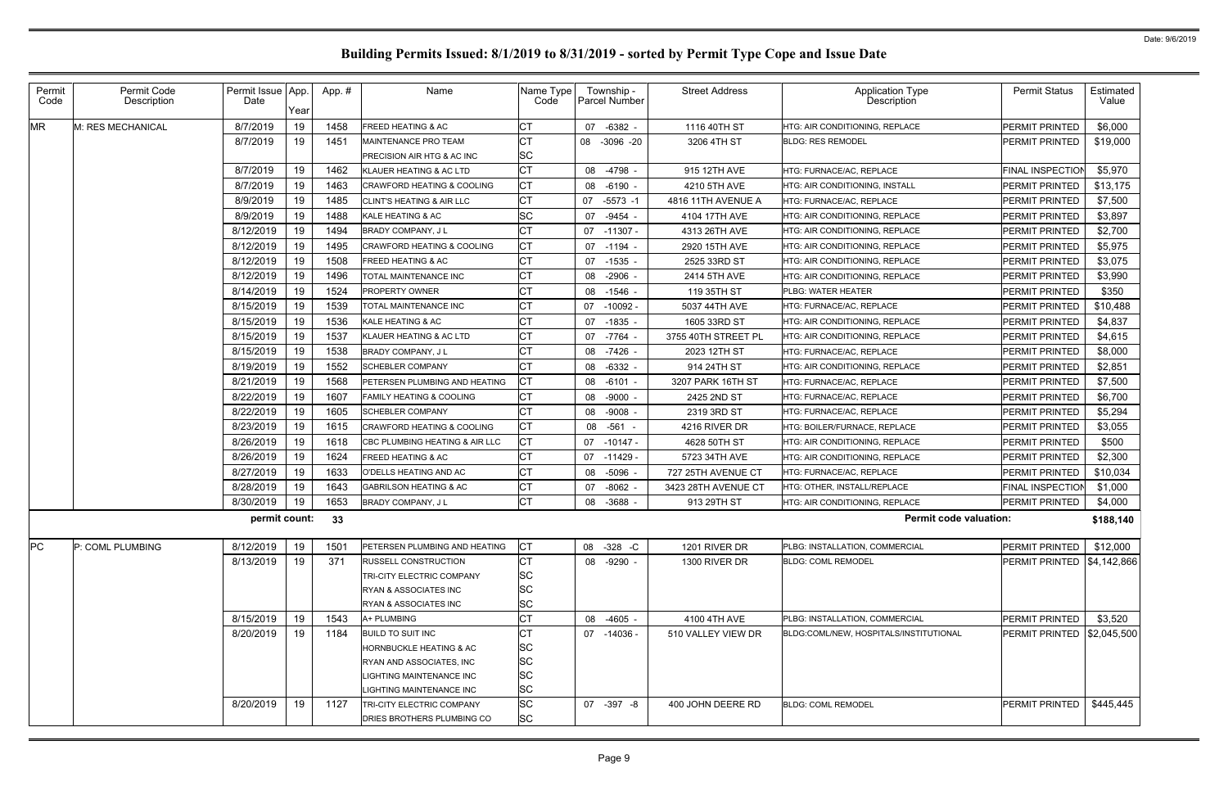| Permit<br>Code | Permit Code<br>Description | Permit Issue App.<br>Date | Year | App.# | Name                                                          | Name Type<br>Code      | Township -<br><b>Parcel Number</b> | <b>Street Address</b> | Application Type<br>Description        | <b>Permit Status</b>              | Estimated<br>Value |
|----------------|----------------------------|---------------------------|------|-------|---------------------------------------------------------------|------------------------|------------------------------------|-----------------------|----------------------------------------|-----------------------------------|--------------------|
| <b>MR</b>      | M: RES MECHANICAL          | 8/7/2019                  | 19   | 1458  | <b>FREED HEATING &amp; AC</b>                                 | <b>CT</b>              | 07 -6382 -                         | 1116 40TH ST          | HTG: AIR CONDITIONING, REPLACE         | PERMIT PRINTED                    | \$6,000            |
|                |                            | 8/7/2019                  | 19   | 1451  | MAINTENANCE PRO TEAM<br><b>PRECISION AIR HTG &amp; AC INC</b> | <b>CT</b><br><b>SC</b> | 08 -3096 -20                       | 3206 4TH ST           | <b>BLDG: RES REMODEL</b>               | <b>PERMIT PRINTED</b>             | \$19,000           |
|                |                            | 8/7/2019                  | 19   | 1462  | KLAUER HEATING & AC LTD                                       | <b>CT</b>              | 08 -4798                           | 915 12TH AVE          | HTG: FURNACE/AC, REPLACE               | <b>FINAL INSPECTION</b>           | \$5,970            |
|                |                            | 8/7/2019                  | 19   | 1463  | <b>CRAWFORD HEATING &amp; COOLING</b>                         | <b>CT</b>              | 08 -6190                           | 4210 5TH AVE          | HTG: AIR CONDITIONING, INSTALL         | PERMIT PRINTED                    | \$13,175           |
|                |                            | 8/9/2019                  | 19   | 1485  | <b>CLINT'S HEATING &amp; AIR LLC</b>                          | <b>CT</b>              | 07<br>$-5573 - 1$                  | 4816 11TH AVENUE A    | <b>HTG: FURNACE/AC. REPLACE</b>        | PERMIT PRINTED                    | \$7,500            |
|                |                            | 8/9/2019                  | 19   | 1488  | KALE HEATING & AC                                             | <b>SC</b>              | 07 -9454                           | 4104 17TH AVE         | HTG: AIR CONDITIONING, REPLACE         | <b>PERMIT PRINTED</b>             | \$3,897            |
|                |                            | 8/12/2019                 | 19   | 1494  | <b>BRADY COMPANY, JL</b>                                      | <b>CT</b>              | 07 -11307 -                        | 4313 26TH AVE         | HTG: AIR CONDITIONING, REPLACE         | <b>PERMIT PRINTED</b>             | \$2,700            |
|                |                            | 8/12/2019                 | 19   | 1495  | <b>CRAWFORD HEATING &amp; COOLING</b>                         | <b>CT</b>              | 07 -1194 -                         | 2920 15TH AVE         | HTG: AIR CONDITIONING, REPLACE         | PERMIT PRINTED                    | \$5,975            |
|                |                            | 8/12/2019                 | 19   | 1508  | FREED HEATING & AC                                            |                        | 07 -1535                           | 2525 33RD ST          | <b>HTG: AIR CONDITIONING, REPLACE</b>  | PERMIT PRINTED                    | \$3,075            |
|                |                            | 8/12/2019                 | 19   | 1496  | <b>TOTAL MAINTENANCE INC</b>                                  | <b>CT</b>              | 08 -2906                           | 2414 5TH AVE          | HTG: AIR CONDITIONING, REPLACE         | PERMIT PRINTED                    | \$3,990            |
|                |                            | 8/14/2019                 | 19   | 1524  | <b>PROPERTY OWNER</b>                                         |                        | 08 -1546 -                         | 119 35TH ST           | PLBG: WATER HEATER                     | PERMIT PRINTED                    | \$350              |
|                |                            | 8/15/2019                 | 19   | 1539  | TOTAL MAINTENANCE INC                                         | <b>CT</b>              | 07 -10092 -                        | 5037 44TH AVE         | HTG: FURNACE/AC, REPLACE               | PERMIT PRINTED                    | \$10,488           |
|                |                            | 8/15/2019                 | 19   | 1536  | KALE HEATING & AC                                             |                        | 07 -1835                           | 1605 33RD ST          | <b>HTG: AIR CONDITIONING, REPLACE</b>  | PERMIT PRINTED                    | \$4,837            |
|                |                            | 8/15/2019                 | 19   | 1537  | KLAUER HEATING & AC LTD                                       | <b>CT</b>              | 07 - 7764 -                        | 3755 40TH STREET PL   | <b>HTG: AIR CONDITIONING, REPLACE</b>  | PERMIT PRINTED                    | \$4,615            |
|                |                            | 8/15/2019                 | 19   | 1538  | BRADY COMPANY, J L                                            | <b>CT</b>              | 08 - 7426 -                        | 2023 12TH ST          | HTG: FURNACE/AC. REPLACE               | PERMIT PRINTED                    | \$8,000            |
|                |                            | 8/19/2019                 | 19   | 1552  | <b>SCHEBLER COMPANY</b>                                       | <b>CT</b>              | 08 -6332                           | 914 24TH ST           | HTG: AIR CONDITIONING, REPLACE         | PERMIT PRINTED                    | \$2,851            |
|                |                            | 8/21/2019                 | 19   | 1568  | <b>PETERSEN PLUMBING AND HEATING</b>                          |                        | 08 -6101 -                         | 3207 PARK 16TH ST     | HTG: FURNACE/AC, REPLACE               | PERMIT PRINTED                    | \$7,500            |
|                |                            | 8/22/2019                 | 19   | 1607  | <b>FAMILY HEATING &amp; COOLING</b>                           | СT                     | 08 -9000                           | 2425 2ND ST           | HTG: FURNACE/AC, REPLACE               | PERMIT PRINTED                    | \$6,700            |
|                |                            | 8/22/2019                 | 19   | 1605  | <b>SCHEBLER COMPANY</b>                                       | <b>CT</b>              | 08 -9008                           | 2319 3RD ST           | HTG: FURNACE/AC, REPLACE               | <b>PERMIT PRINTED</b>             | \$5,294            |
|                |                            | 8/23/2019                 | 19   | 1615  | <b>CRAWFORD HEATING &amp; COOLING</b>                         | <b>CT</b>              | 08 -561 -                          | 4216 RIVER DR         | HTG: BOILER/FURNACE, REPLACE           | PERMIT PRINTED                    | \$3,055            |
|                |                            | 8/26/2019                 | 19   | 1618  | CBC PLUMBING HEATING & AIR LLC                                | <b>CT</b>              | 07 -10147 -                        | 4628 50TH ST          | <b>HTG: AIR CONDITIONING, REPLACE</b>  | PERMIT PRINTED                    | \$500              |
|                |                            | 8/26/2019                 | 19   | 1624  | FREED HEATING & AC                                            | СT                     | $07 - 11429$                       | 5723 34TH AVE         | HTG: AIR CONDITIONING, REPLACE         | PERMIT PRINTED                    | \$2,300            |
|                |                            | 8/27/2019                 | 19   | 1633  | O'DELLS HEATING AND AC                                        | СT                     | -5096<br>08                        | 727 25TH AVENUE CT    | HTG: FURNACE/AC, REPLACE               | PERMIT PRINTED                    | \$10,034           |
|                |                            | 8/28/2019                 | 19   | 1643  | <b>GABRILSON HEATING &amp; AC</b>                             | <b>CT</b>              | $-8062$<br>07                      | 3423 28TH AVENUE CT   | HTG: OTHER, INSTALL/REPLACE            | <b>FINAL INSPECTION</b>           | \$1,000            |
|                |                            | 8/30/2019                 | 19   | 1653  | BRADY COMPANY, J L                                            | <b>CT</b>              | 08 -3688                           | 913 29TH ST           | HTG: AIR CONDITIONING, REPLACE         | <b>PERMIT PRINTED</b>             | \$4,000            |
|                |                            | permit count:             |      | 33    |                                                               |                        |                                    |                       | <b>Permit code valuation:</b>          |                                   | \$188,140          |
| PC             | P: COML PLUMBING           | 8/12/2019                 | 19   | 1501  | <b>IPETERSEN PLUMBING AND HEATING</b>                         | СT                     | 08 -328 -C                         | 1201 RIVER DR         | PLBG: INSTALLATION, COMMERCIAL         | <b>PERMIT PRINTED</b>             | \$12,000           |
|                |                            | 8/13/2019                 | 19   | 371   | <b>RUSSELL CONSTRUCTION</b>                                   | <b>CT</b>              | 08 -9290 -                         | 1300 RIVER DR         | <b>BLDG: COML REMODEL</b>              | PERMIT PRINTED   \$4,142,866      |                    |
|                |                            |                           |      |       | <b>TRI-CITY ELECTRIC COMPANY</b>                              | <b>SC</b>              |                                    |                       |                                        |                                   |                    |
|                |                            |                           |      |       | RYAN & ASSOCIATES INC                                         | <b>SC</b>              |                                    |                       |                                        |                                   |                    |
|                |                            |                           |      |       | <b>RYAN &amp; ASSOCIATES INC</b>                              | <b>SC</b>              |                                    |                       |                                        |                                   |                    |
|                |                            | 8/15/2019                 | 19   | 1543  | A+ PLUMBING                                                   | <b>CT</b>              | 08 -4605 -                         | 4100 4TH AVE          | PLBG: INSTALLATION, COMMERCIAL         | PERMIT PRINTED                    | \$3,520            |
|                |                            | 8/20/2019                 | 19   | 1184  | <b>BUILD TO SUIT INC</b>                                      | <b>CT</b>              | 07 -14036 -                        | 510 VALLEY VIEW DR    | BLDG:COML/NEW, HOSPITALS/INSTITUTIONAL | <b>PERMIT PRINTED \$2,045,500</b> |                    |
|                |                            |                           |      |       | <b>HORNBUCKLE HEATING &amp; AC</b>                            | <b>SC</b>              |                                    |                       |                                        |                                   |                    |
|                |                            |                           |      |       | RYAN AND ASSOCIATES, INC                                      | <b>SC</b>              |                                    |                       |                                        |                                   |                    |
|                |                            |                           |      |       | LIGHTING MAINTENANCE INC                                      | <b>SC</b>              |                                    |                       |                                        |                                   |                    |
|                |                            |                           |      |       | IGHTING MAINTENANCE INC                                       | <b>SC</b>              |                                    |                       |                                        |                                   |                    |
|                |                            | 8/20/2019                 | 19   | 1127  | TRI-CITY ELECTRIC COMPANY<br>DRIES BROTHERS PLUMBING CO       | <b>SC</b><br><b>SC</b> | 07 -397 -8                         | 400 JOHN DEERE RD     | <b>BLDG: COML REMODEL</b>              | PERMIT PRINTED                    | \$445,445          |
|                |                            |                           |      |       |                                                               |                        |                                    |                       |                                        |                                   |                    |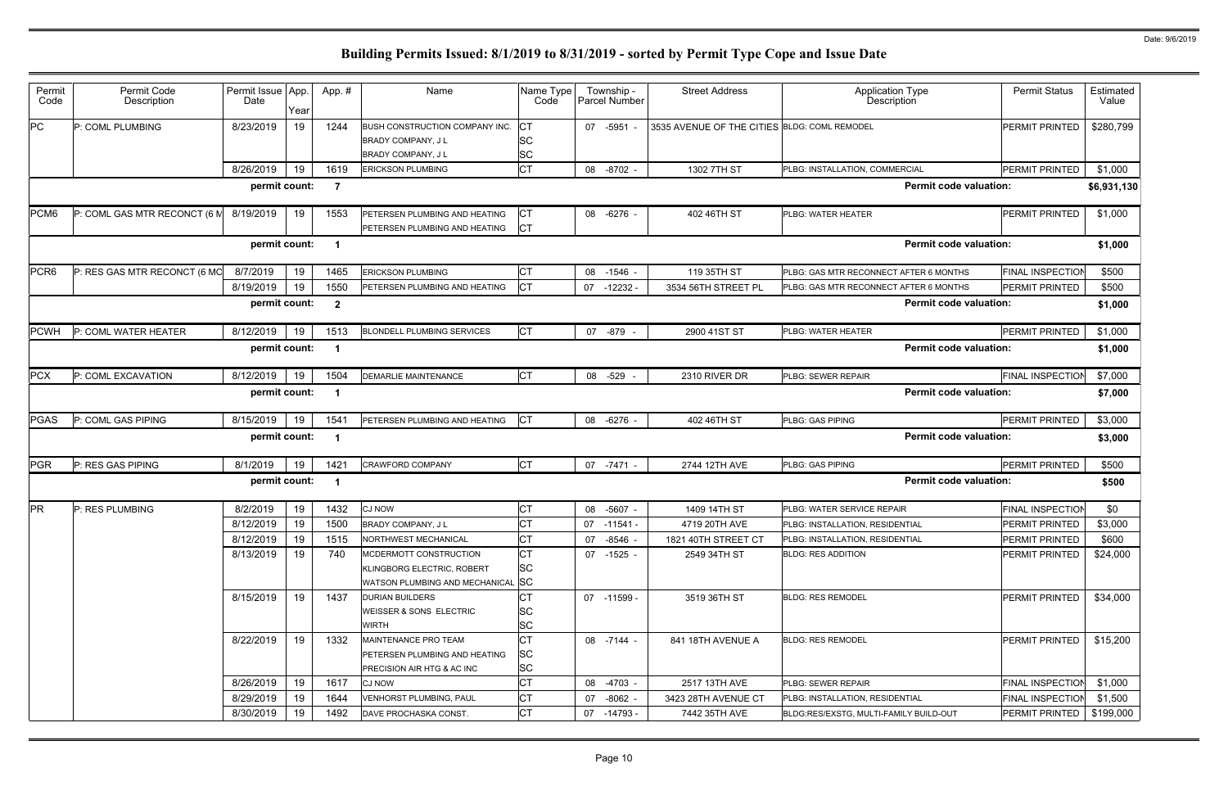| Permit<br>Code   | Permit Code<br>Description   | Permit Issue App.<br>Date | Year | App. #                  | Name                                                                                      | Name Type<br>Code                   | Township -<br><b>Parcel Number</b> | <b>Street Address</b>                        | Application Type<br><b>Description</b> | <b>Permit Status</b>    | Estimated<br>Value |
|------------------|------------------------------|---------------------------|------|-------------------------|-------------------------------------------------------------------------------------------|-------------------------------------|------------------------------------|----------------------------------------------|----------------------------------------|-------------------------|--------------------|
| PC               | P: COML PLUMBING             | 8/23/2019                 | 19   | 1244                    | BUSH CONSTRUCTION COMPANY INC.<br>BRADY COMPANY, J L<br><b>BRADY COMPANY, JL</b>          | Iст<br>SC<br><b>SC</b>              | 07 -5951 -                         | 3535 AVENUE OF THE CITIES BLDG: COML REMODEL |                                        | PERMIT PRINTED          | \$280,799          |
|                  |                              | 8/26/2019                 | 19   | 1619                    | <b>ERICKSON PLUMBING</b>                                                                  | <b>CT</b>                           | 08 -8702 -                         | 1302 7TH ST                                  | PLBG: INSTALLATION, COMMERCIAL         | PERMIT PRINTED          | \$1,000            |
|                  |                              | permit count:             |      | -7                      |                                                                                           |                                     |                                    |                                              | <b>Permit code valuation:</b>          |                         | \$6,931,130        |
| PCM6             | P: COML GAS MTR RECONCT (6 M | 8/19/2019                 | 19   | 1553                    | PETERSEN PLUMBING AND HEATING<br>PETERSEN PLUMBING AND HEATING                            | СT<br><b>ICT</b>                    | 08 - 6276                          | 402 46TH ST                                  | PLBG: WATER HEATER                     | PERMIT PRINTED          | \$1,000            |
|                  |                              | permit count:             |      | $\overline{\mathbf{1}}$ |                                                                                           |                                     |                                    |                                              | <b>Permit code valuation:</b>          |                         | \$1,000            |
| PCR <sub>6</sub> | P: RES GAS MTR RECONCT (6 MO | 8/7/2019                  | 19   | 1465                    | <b>ERICKSON PLUMBING</b>                                                                  | СT                                  | 08<br>$-1546$ -                    | 119 35TH ST                                  | PLBG: GAS MTR RECONNECT AFTER 6 MONTHS | <b>FINAL INSPECTION</b> | \$500              |
|                  |                              | 8/19/2019                 | 19   | 1550                    | PETERSEN PLUMBING AND HEATING                                                             | Iст                                 | 07<br>-12232                       | 3534 56TH STREET PL                          | PLBG: GAS MTR RECONNECT AFTER 6 MONTHS | PERMIT PRINTED          | \$500              |
|                  |                              | permit count:             |      | $\overline{\mathbf{2}}$ |                                                                                           |                                     |                                    |                                              | <b>Permit code valuation:</b>          |                         | \$1,000            |
| <b>PCWH</b>      | P: COML WATER HEATER         | 8/12/2019                 | 19   | 1513                    | <b>BLONDELL PLUMBING SERVICES</b>                                                         | <b>CT</b>                           | 07 -879                            | 2900 41ST ST                                 | <b>PLBG: WATER HEATER</b>              | PERMIT PRINTED          | \$1,000            |
|                  |                              | permit count:             |      | $\overline{\mathbf{1}}$ |                                                                                           |                                     |                                    |                                              | <b>Permit code valuation:</b>          |                         | \$1,000            |
| PCX              | P: COML EXCAVATION           | 8/12/2019                 | 19   | 1504                    | <b>DEMARLIE MAINTENANCE</b>                                                               | <b>CT</b>                           | 08 -529 -                          | 2310 RIVER DR                                | PLBG: SEWER REPAIR                     | <b>FINAL INSPECTION</b> | \$7,000            |
|                  |                              | permit count:             |      | -1                      |                                                                                           |                                     |                                    |                                              | <b>Permit code valuation:</b>          |                         | \$7,000            |
| PGAS             | P: COML GAS PIPING           | 8/15/2019                 | 19   | 1541                    | PETERSEN PLUMBING AND HEATING                                                             | <b>ICT</b>                          | 08 -6276 -                         | 402 46TH ST                                  | PLBG: GAS PIPING                       | PERMIT PRINTED          | \$3,000            |
|                  |                              | permit count:             |      | -1                      |                                                                                           |                                     |                                    |                                              | <b>Permit code valuation:</b>          |                         | \$3,000            |
| PGR              | P: RES GAS PIPING            | 8/1/2019                  | 19   | 1421                    | <b>CRAWFORD COMPANY</b>                                                                   | <b>CT</b>                           | 07 -7471 -                         | 2744 12TH AVE                                | PLBG: GAS PIPING                       | <b>PERMIT PRINTED</b>   | \$500              |
|                  |                              | permit count:             |      | -1                      |                                                                                           |                                     |                                    |                                              | <b>Permit code valuation:</b>          |                         | \$500              |
| <b>PR</b>        | P: RES PLUMBING              | 8/2/2019                  | 19   | 1432                    | <b>CJ NOW</b>                                                                             | СT                                  | 08 -5607 -                         | 1409 14TH ST                                 | PLBG: WATER SERVICE REPAIR             | <b>FINAL INSPECTION</b> | \$0                |
|                  |                              | 8/12/2019                 | 19   | 1500                    | BRADY COMPANY, J L                                                                        | Iст                                 | 07<br>-11541 -                     | 4719 20TH AVE                                | PLBG: INSTALLATION, RESIDENTIAL        | PERMIT PRINTED          | \$3,000            |
|                  |                              | 8/12/2019                 | 19   | 1515                    | NORTHWEST MECHANICAL                                                                      | <b>CT</b>                           | 07 -8546 -                         | 1821 40TH STREET CT                          | PLBG: INSTALLATION, RESIDENTIAL        | PERMIT PRINTED          | \$600              |
|                  |                              | 8/13/2019                 | 19   | 740                     | MCDERMOTT CONSTRUCTION<br>KLINGBORG ELECTRIC, ROBERT<br>WATSON PLUMBING AND MECHANICAL SC | <b>ICT</b><br><b>SC</b>             | 07 -1525 -                         | 2549 34TH ST                                 | <b>BLDG: RES ADDITION</b>              | PERMIT PRINTED          | \$24,000           |
|                  |                              | 8/15/2019                 | 19   | 1437                    | <b>DURIAN BUILDERS</b><br>WEISSER & SONS ELECTRIC<br>WIRTH                                | CT<br><b>SC</b><br><b>SC</b>        | 07 -11599 -                        | 3519 36TH ST                                 | <b>BLDG: RES REMODEL</b>               | PERMIT PRINTED          | \$34,000           |
|                  |                              | 8/22/2019                 | 19   | 1332                    | MAINTENANCE PRO TEAM<br>PETERSEN PLUMBING AND HEATING<br>PRECISION AIR HTG & AC INC       | <b>CT</b><br><b>SC</b><br><b>SC</b> | 08 -7144 -                         | 841 18TH AVENUE A                            | <b>BLDG: RES REMODEL</b>               | PERMIT PRINTED          | \$15,200           |
|                  |                              | 8/26/2019                 | 19   | 1617                    | <b>CJ NOW</b>                                                                             | <b>CT</b>                           | 08 -4703 -                         | 2517 13TH AVE                                | PLBG: SEWER REPAIR                     | <b>FINAL INSPECTION</b> | \$1,000            |
|                  |                              | 8/29/2019                 | 19   | 1644                    | <b>VENHORST PLUMBING, PAUL</b>                                                            | <b>CT</b>                           | 07 -8062 -                         | 3423 28TH AVENUE CT                          | PLBG: INSTALLATION, RESIDENTIAL        | <b>FINAL INSPECTION</b> | \$1,500            |
|                  |                              | 8/30/2019                 | 19   | 1492                    | DAVE PROCHASKA CONST.                                                                     | <b>CT</b>                           | 07 -14793 -                        | 7442 35TH AVE                                | BLDG:RES/EXSTG, MULTI-FAMILY BUILD-OUT | PERMIT PRINTED          | \$199,000          |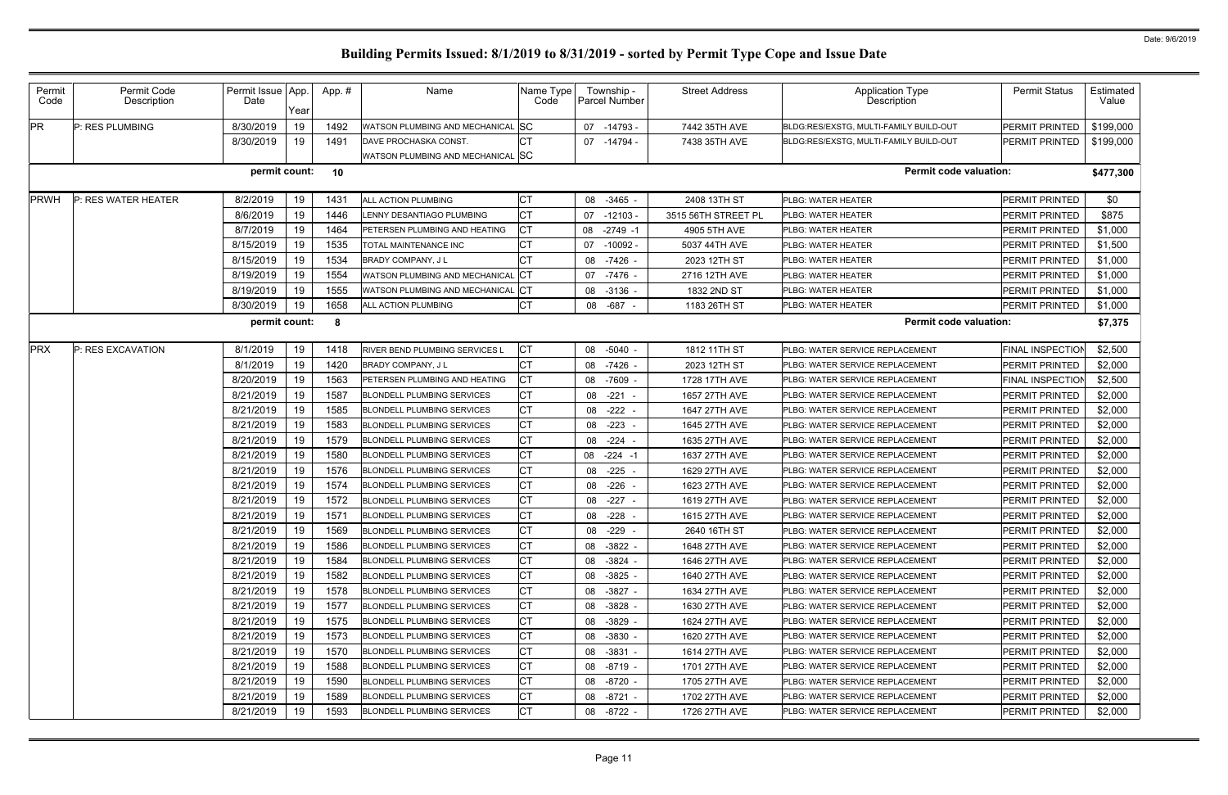| Permit<br>Code | Permit Code<br>Description | Permit Issue App.<br>Date | Year | App.# | Name                                                       | Name Type<br>Code    | Township -<br>Parcel Number | <b>Street Address</b> | <b>Application Type</b><br>Description  | <b>Permit Status</b>    | Estimated<br>Value |
|----------------|----------------------------|---------------------------|------|-------|------------------------------------------------------------|----------------------|-----------------------------|-----------------------|-----------------------------------------|-------------------------|--------------------|
| <b>PR</b>      | P: RES PLUMBING            | 8/30/2019                 | 19   | 1492  | WATSON PLUMBING AND MECHANICAL SC                          |                      | $-14793 -$<br>07            | 7442 35TH AVE         | BLDG:RES/EXSTG, MULTI-FAMILY BUILD-OUT  | PERMIT PRINTED          | \$199,000          |
|                |                            | 8/30/2019                 | 19   | 1491  | DAVE PROCHASKA CONST.<br>WATSON PLUMBING AND MECHANICAL SC | <b>CT</b>            | 07 -14794                   | 7438 35TH AVE         | BLDG:RES/EXSTG, MULTI-FAMILY BUILD-OUT  | PERMIT PRINTED          | \$199,000          |
|                |                            | permit count:             |      | 10    |                                                            |                      |                             |                       | <b>Permit code valuation:</b>           |                         | \$477,300          |
| <b>PRWH</b>    | P: RES WATER HEATER        | 8/2/2019                  | 19   | 1431  | ALL ACTION PLUMBING                                        | СT                   | $-3465 -$<br>08             | 2408 13TH ST          | PLBG: WATER HEATER                      | <b>PERMIT PRINTED</b>   | \$0                |
|                |                            | 8/6/2019                  | 19   | 1446  | <b>ENNY DESANTIAGO PLUMBING</b>                            | <b>CT</b>            | 07<br>$-12103$              | 3515 56TH STREET PL   | PLBG: WATER HEATER                      | <b>PERMIT PRINTED</b>   | \$875              |
|                |                            | 8/7/2019                  | 19   | 1464  | PETERSEN PLUMBING AND HEATING                              | <b>CT</b>            | 08<br>$-2749 - 1$           | 4905 5TH AVE          | PLBG: WATER HEATER                      | PERMIT PRINTED          | \$1,000            |
|                |                            | 8/15/2019                 | 19   | 1535  | TOTAL MAINTENANCE INC                                      | <b>CT</b>            | 07<br>$-10092$              | 5037 44TH AVE         | PLBG: WATER HEATER                      | <b>PERMIT PRINTED</b>   | \$1,500            |
|                |                            | 8/15/2019                 | 19   | 1534  | <b>BRADY COMPANY, JL</b>                                   | <b>CT</b>            | 08<br>-7426 -               | 2023 12TH ST          | PLBG: WATER HEATER                      | <b>PERMIT PRINTED</b>   | \$1,000            |
|                |                            | 8/19/2019                 | 19   | 1554  | WATSON PLUMBING AND MECHANICAL                             | . ICT                | 07<br>$-7476$ .             | 2716 12TH AVE         | <b>PLBG: WATER HEATER</b>               | PERMIT PRINTED          | \$1,000            |
|                |                            | 8/19/2019                 | 19   | 1555  | WATSON PLUMBING AND MECHANICAL CT                          |                      | 08<br>$-3136$ -             | 1832 2ND ST           | PLBG: WATER HEATER                      | PERMIT PRINTED          | \$1,000            |
|                |                            | 8/30/2019                 | 19   | 1658  | ALL ACTION PLUMBING                                        | <b>CT</b>            | -687<br>08                  | 1183 26TH ST          | PLBG: WATER HEATER                      | <b>PERMIT PRINTED</b>   | \$1,000            |
|                |                            | permit count:             |      | -8    |                                                            |                      |                             |                       | <b>Permit code valuation:</b>           |                         | \$7,375            |
| <b>PRX</b>     | P: RES EXCAVATION          | 8/1/2019                  | 19   | 1418  | RIVER BEND PLUMBING SERVICES L                             | <b>CT</b>            | $-5040 -$<br>08             | 1812 11TH ST          | PLBG: WATER SERVICE REPLACEMENT         | FINAL INSPECTION        | \$2,500            |
|                |                            | 8/1/2019                  | 19   | 1420  | BRADY COMPANY, J L                                         | <b>CT</b>            | $-7426$ -<br>08             | 2023 12TH ST          | PLBG: WATER SERVICE REPLACEMENT         | <b>PERMIT PRINTED</b>   | \$2,000            |
|                |                            | 8/20/2019                 | 19   | 1563  | PETERSEN PLUMBING AND HEATING                              | IСТ                  | 08<br>$-7609$ -             | 1728 17TH AVE         | PLBG: WATER SERVICE REPLACEMENT         | <b>FINAL INSPECTION</b> | \$2,500            |
|                |                            | 8/21/2019                 | 19   | 1587  | <b>BLONDELL PLUMBING SERVICES</b>                          | <b>CT</b>            | 08<br>$-221$                | 1657 27TH AVE         | PLBG: WATER SERVICE REPLACEMENT         | PERMIT PRINTED          | \$2,000            |
|                |                            | 8/21/2019                 | 19   | 1585  | <b>BLONDELL PLUMBING SERVICES</b>                          | <b>CT</b>            | $-222$<br>08                | 1647 27TH AVE         | PLBG: WATER SERVICE REPLACEMENT         | PERMIT PRINTED          | \$2,000            |
|                |                            | 8/21/2019                 | 19   | 1583  | <b>BLONDELL PLUMBING SERVICES</b>                          | <b>CT</b>            | $-223$<br>08                | 1645 27TH AVE         | PLBG: WATER SERVICE REPLACEMENT         | <b>PERMIT PRINTED</b>   | \$2,000            |
|                |                            | 8/21/2019                 | 19   | 1579  | <b>BLONDELL PLUMBING SERVICES</b>                          | <b>CT</b>            | $-224$<br>08                | 1635 27TH AVE         | PLBG: WATER SERVICE REPLACEMENT         | PERMIT PRINTED          | \$2,000            |
|                |                            | 8/21/2019                 | 19   | 1580  | <b>BLONDELL PLUMBING SERVICES</b>                          | <b>CT</b>            | 08<br>$-224 - 1$            | 1637 27TH AVE         | PLBG: WATER SERVICE REPLACEMENT         | PERMIT PRINTED          | \$2,000            |
|                |                            | 8/21/2019                 | 19   | 1576  | <b>BLONDELL PLUMBING SERVICES</b>                          | <b>CT</b>            | $-225$<br>08                | 1629 27TH AVE         | PLBG: WATER SERVICE REPLACEMENT         | PERMIT PRINTED          | \$2,000            |
|                |                            | 8/21/2019                 | 19   | 1574  | <b>BLONDELL PLUMBING SERVICES</b>                          | <b>CT</b>            | $-226$<br>08                | 1623 27TH AVE         | PLBG: WATER SERVICE REPLACEMENT         | <b>PERMIT PRINTED</b>   | \$2,000            |
|                |                            | 8/21/2019                 | 19   | 1572  | <b>BLONDELL PLUMBING SERVICES</b>                          | СT                   | $-227$<br>08                | 1619 27TH AVE         | PLBG: WATER SERVICE REPLACEMENT         | PERMIT PRINTED          | \$2,000            |
|                |                            | 8/21/2019                 | 19   | 1571  | <b>BLONDELL PLUMBING SERVICES</b>                          | <b>CT</b>            | $-228$<br>08                | 1615 27TH AVE         | PLBG: WATER SERVICE REPLACEMENT         | PERMIT PRINTED          | \$2,000            |
|                |                            | 8/21/2019                 | 19   | 1569  | <b>BLONDELL PLUMBING SERVICES</b>                          | $\sim$ $\sim$<br>∣∪∣ | 08<br>$-229 -$              | 2640 16TH ST          | PLBG: WATER SERVICE REPLACEMENT         | PERMIT PRINTED          | \$2,000            |
|                |                            | 8/21/2019                 | 19   | 1586  | <b>BLONDELL PLUMBING SERVICES</b>                          | <b>CT</b>            | 08<br>$-3822 -$             | 1648 27TH AVE         | PLBG: WATER SERVICE REPLACEMENT         | PERMIT PRINTED          | \$2,000            |
|                |                            | 8/21/2019                 | 19   | 1584  | <b>BLONDELL PLUMBING SERVICES</b>                          | СT                   | -3824 -<br>08               | 1646 27TH AVE         | PLBG: WATER SERVICE REPLACEMENT         | PERMIT PRINTED          | \$2,000            |
|                |                            | 8/21/2019                 | 19   | 1582  | <b>BLONDELL PLUMBING SERVICES</b>                          | <b>CT</b>            | $-3825 -$<br>08             | 1640 27TH AVE         | PLBG: WATER SERVICE REPLACEMENT         | PERMIT PRINTED          | \$2,000            |
|                |                            | 8/21/2019                 | 19   | 1578  | <b>BLONDELL PLUMBING SERVICES</b>                          | СT                   | $-3827 -$<br>08             | 1634 27TH AVE         | PLBG: WATER SERVICE REPLACEMENT         | PERMIT PRINTED          | \$2,000            |
|                |                            | 8/21/2019                 | 19   | 1577  | <b>BLONDELL PLUMBING SERVICES</b>                          | <b>CT</b>            | 08<br>$-3828 -$             | 1630 27TH AVE         | PLBG: WATER SERVICE REPLACEMENT         | PERMIT PRINTED          | \$2,000            |
|                |                            | 8/21/2019                 | 19   | 1575  | <b>BLONDELL PLUMBING SERVICES</b>                          | СT                   | $-3829 -$<br>08             | 1624 27TH AVE         | PLBG: WATER SERVICE REPLACEMENT         | PERMIT PRINTED          | \$2,000            |
|                |                            | 8/21/2019                 | 19   | 1573  | <b>BLONDELL PLUMBING SERVICES</b>                          | <b>CT</b>            | 08<br>$-3830 -$             | 1620 27TH AVE         | <b>PLBG: WATER SERVICE REPLACEMENT</b>  | PERMIT PRINTED          | \$2,000            |
|                |                            | 8/21/2019                 | 19   | 1570  | <b>BLONDELL PLUMBING SERVICES</b>                          | СT                   | 08<br>-3831 -               | 1614 27TH AVE         | <b>IPLBG: WATER SERVICE REPLACEMENT</b> | <b>PERMIT PRINTED</b>   | \$2,000            |
|                |                            | 8/21/2019                 | 19   | 1588  | <b>BLONDELL PLUMBING SERVICES</b>                          | <b>CT</b>            | $-8719 -$<br>08             | 1701 27TH AVE         | PLBG: WATER SERVICE REPLACEMENT         | PERMIT PRINTED          | \$2,000            |
|                |                            | 8/21/2019                 | 19   | 1590  | <b>BLONDELL PLUMBING SERVICES</b>                          | СT                   | 08<br>-8720 -               | 1705 27TH AVE         | PLBG: WATER SERVICE REPLACEMENT         | PERMIT PRINTED          | \$2,000            |
|                |                            | 8/21/2019                 | 19   | 1589  | <b>BLONDELL PLUMBING SERVICES</b>                          | <b>CT</b>            | $-8721 -$<br>08             | 1702 27TH AVE         | PLBG: WATER SERVICE REPLACEMENT         | PERMIT PRINTED          | \$2,000            |
|                |                            | 8/21/2019                 | 19   | 1593  | <b>BLONDELL PLUMBING SERVICES</b>                          | СT                   | 08 -8722 -                  | 1726 27TH AVE         | PLBG: WATER SERVICE REPLACEMENT         | PERMIT PRINTED          | \$2,000            |